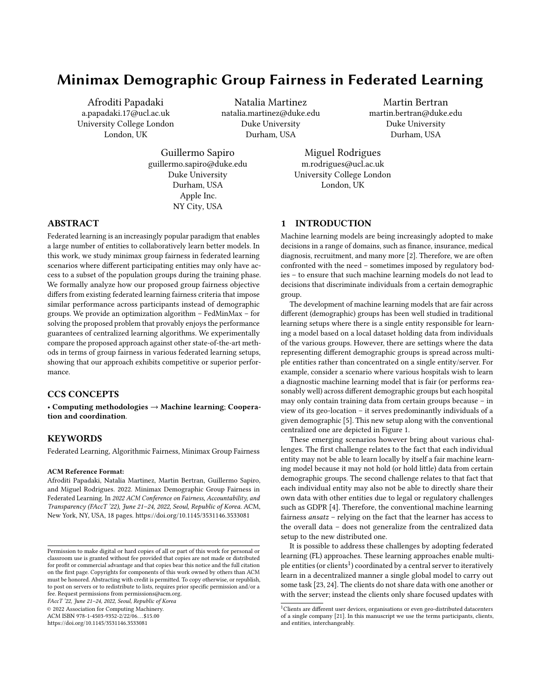# Minimax Demographic Group Fairness in Federated Learning

Afroditi Papadaki a.papadaki.17@ucl.ac.uk University College London London, UK

Natalia Martinez natalia.martinez@duke.edu Duke University Durham, USA

Martin Bertran martin.bertran@duke.edu Duke University Durham, USA

Guillermo Sapiro guillermo.sapiro@duke.edu Duke University Durham, USA Apple Inc. NY City, USA

Miguel Rodrigues m.rodrigues@ucl.ac.uk University College London London, UK

# ABSTRACT

Federated learning is an increasingly popular paradigm that enables a large number of entities to collaboratively learn better models. In this work, we study minimax group fairness in federated learning scenarios where different participating entities may only have access to a subset of the population groups during the training phase. We formally analyze how our proposed group fairness objective differs from existing federated learning fairness criteria that impose similar performance across participants instead of demographic groups. We provide an optimization algorithm – FedMinMax – for solving the proposed problem that provably enjoys the performance guarantees of centralized learning algorithms. We experimentally compare the proposed approach against other state-of-the-art methods in terms of group fairness in various federated learning setups, showing that our approach exhibits competitive or superior performance.

## CCS CONCEPTS

• Computing methodologies → Machine learning; Cooperation and coordination.

# **KEYWORDS**

Federated Learning, Algorithmic Fairness, Minimax Group Fairness

#### ACM Reference Format:

Afroditi Papadaki, Natalia Martinez, Martin Bertran, Guillermo Sapiro, and Miguel Rodrigues. 2022. Minimax Demographic Group Fairness in Federated Learning. In 2022 ACM Conference on Fairness, Accountability, and Transparency (FAccT '22), June 21–24, 2022, Seoul, Republic of Korea. ACM, New York, NY, USA, 18 pages.<https://doi.org/10.1145/3531146.3533081>

FAccT '22, June 21–24, 2022, Seoul, Republic of Korea

© 2022 Association for Computing Machinery.

ACM ISBN 978-1-4503-9352-2/22/06. . . \$15.00

<https://doi.org/10.1145/3531146.3533081>

# 1 INTRODUCTION

Machine learning models are being increasingly adopted to make decisions in a range of domains, such as finance, insurance, medical diagnosis, recruitment, and many more [2]. Therefore, we are often confronted with the need – sometimes imposed by regulatory bodies – to ensure that such machine learning models do not lead to decisions that discriminate individuals from a certain demographic group.

The development of machine learning models that are fair across different (demographic) groups has been well studied in traditional learning setups where there is a single entity responsible for learning a model based on a local dataset holding data from individuals of the various groups. However, there are settings where the data representing different demographic groups is spread across multiple entities rather than concentrated on a single entity/server. For example, consider a scenario where various hospitals wish to learn a diagnostic machine learning model that is fair (or performs reasonably well) across different demographic groups but each hospital may only contain training data from certain groups because – in view of its geo-location – it serves predominantly individuals of a given demographic [5]. This new setup along with the conventional centralized one are depicted in Figure 1.

These emerging scenarios however bring about various challenges. The first challenge relates to the fact that each individual entity may not be able to learn locally by itself a fair machine learning model because it may not hold (or hold little) data from certain demographic groups. The second challenge relates to that fact that each individual entity may also not be able to directly share their own data with other entities due to legal or regulatory challenges such as GDPR [4]. Therefore, the conventional machine learning fairness ansatz – relying on the fact that the learner has access to the overall data – does not generalize from the centralized data setup to the new distributed one.

It is possible to address these challenges by adopting federated learning (FL) approaches. These learning approaches enable multiple entities (or clients<sup>1</sup>) coordinated by a central server to iteratively learn in a decentralized manner a single global model to carry out some task [23, 24]. The clients do not share data with one another or with the server; instead the clients only share focused updates with

Permission to make digital or hard copies of all or part of this work for personal or classroom use is granted without fee provided that copies are not made or distributed for profit or commercial advantage and that copies bear this notice and the full citation on the first page. Copyrights for components of this work owned by others than ACM must be honored. Abstracting with credit is permitted. To copy otherwise, or republish, to post on servers or to redistribute to lists, requires prior specific permission and/or a fee. Request permissions from permissions@acm.org.

 $^1$ Clients are different user devices, organisations or even geo-distributed datacenters of a single company [21]. In this manuscript we use the terms participants, clients, and entities, interchangeably.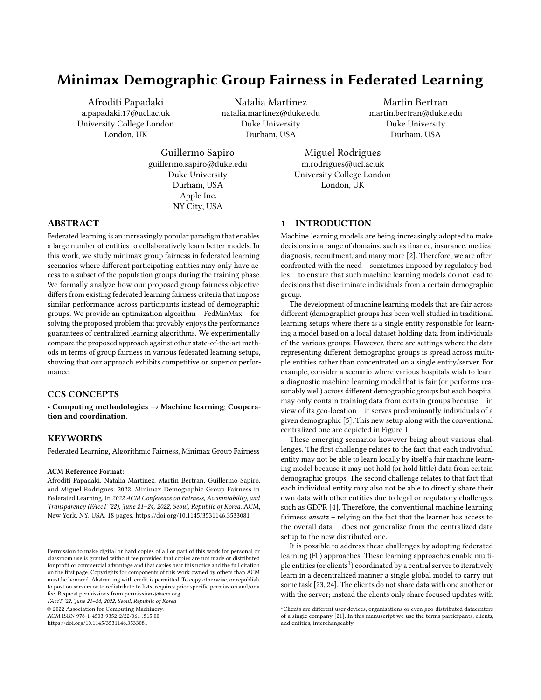the server, the server then updates a global model, and distributes the updated model to the clients, with the process carried out over multiple rounds or iterations. This learning approach enables different clients with limited local training data to learn better machine learning models.



Figure 1: Centralized Learning vs. Federated Learning group fairness. Left: A single entity holds the dataset  $S$  in a single server that is responsible for learning a model  $h$  parameterized by  $\,$  . Right: Multiple entities hold different datasets  $S_k$ , sharing restricted information with a server that is responsi sharing restricted information with a server that is responsible for learning a model  $h$  parametrized by , and the group importance weights  $W = \{W_a\}_{a \in \mathcal{A}}$ . See also Section 3.

However, with the exception of some recent works such as [5, 48], which we will discuss later, federated learning is not typically used to learn models that exhibit performance guarantees for different demographic groups served by a client (i.e., group fairness guarantees); instead, it is primarily used to learn models that exhibit specific performance guarantees for each client involved in the federation (i.e., client fairness guarantees). Importantly, in view of the fact that a machine learning model that is client fair is not necessarily group fair (as we formally demonstrate in this work), it becomes crucial to understand how to develop new federated learning techniques leading up to models that are also fair across different demographic groups.

This work develops a new federated learning algorithm that can be adopted by multiple entities coordinated by a single server to learn a global minimax group fair model. We show that our algorithm leads to the same (minimax) group fairness performance guarantees of centralized approaches such as [8, 32], which are exclusively applicable to settings where the data is concentrated in a single client. Interestingly, this also applies to scenarios where certain clients do not hold any data from some of the demographic groups.

The rest of the paper is organized as follows: Section 2 overviews related work. Section 3 formulates our proposed distributed group fairness problem. Section 4 formally demonstrates that traditional federated learning approaches such as [6, 7, 27, 36] may not always solve group fairness. In Section 5 we propose a new federated learning algorithm to collaboratively learn models that are minimax group fair. Section 6 illustrates the performance of our approach in

relation to other baselines. Finally, Section 7 draws various conclusions.

## 2 RELATED WORK

#### 2.1 Fairness in Machine Learning

The development of fair machine learning models in the standard centralized learning setting – where the learner has access to all the data – is underpinned by fairness criteria. One popular criterion is individual fairness [13] that dictates that the model is fair provided that people with similar characteristics/attributes are subject to similar model predictions/decisions. Another family of criteria – known as group fairness – requires the model to perform similarly on different demographic groups. Popular group fairness criteria include equality of odds, equality of opportunity [18], and demographic parity [30], that are usually imposed as a constraint within the learning problem. More recently, [32] introduced minimax group fairness; this criterion requires the model to optimize the prediction performance of the worst demographic group without unnecessarily impairing the performance of other demographic groups (also known as no-harm fairness) [8, 32].

In this work we leverage minimax group fairness criterion to learn a model that is (demographic) group fair across any groups included in the clients distribution in federated learning settings. However, the overall concepts here introduced can also be extended to other fairness criteria.

## 2.2 Fairness in Federated Learning

The development of fair machine learning models in federated learning settings has been building upon the group fairness literature. The majority of these works has concentrated predominantly on client-fairness which targets the development of algorithms leading to models that exhibit similar performance across different clients [27].

One such approach is agnostic federated learning (AFL) [36], whose aim is to learn a model that optimizes the performance of the worst performing client. Extensions of AFL [7, 41] improve its communication-efficiency by enabling clients to perform multiple local optimization steps. Another FL approach proposed in [27], uses an extra fairness constraint to flexibly control performance disparities across clients. Similarly, tilted empirical risk minimization [26] uses a hyperparameter called tilt to enable fairness or robustness by magnifying or suppressing the impact of individual client losses. FedMGDA+ [20] is an algorithm that combines minimax optimization coupled with Pareto efficiency [33] and gradient normalization to ensure fairness across users and robustness against malicious clients.

The works in [19, 37] enable fairness across clients with different hardware computational capabilities by allowing any participant to train a submodel of the original deep neural network (DNN) in order to contribute to the global model. The authors in [43] observe that unfairness across clients is caused by conflicting gradients that may significantly reduce the performance of some clients and therefore propose an algorithm for detecting and mitigating such conflicts. Finally, GIFAIR-FL [45] uses a regularization term to penalize the spread in the aggregated loss to enforce uniform performance across the participating entities. Our work naturally departs from these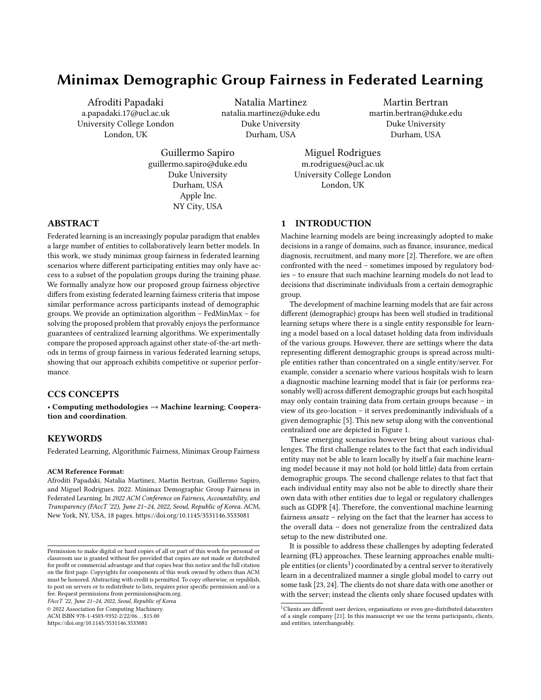fairness federated learning approaches since, as we prove in Section 4, client-fairness ensures fairness across all demographic groups included across clients datasets only under some special conditions.

Another fairness concept in federated learning is collaborative fairness [15, 31, 38, 47], which proposes each client's performance compensation to correspond to its contribution on the utility task of the global model. Larger rewards to high-contributing clients motivate their participation in the federation while lower rewards prevent free-riders [31]. However, such approaches might further penalize clients that have access to the worst performing demographic groups resulting to a even more unfair global model.

There are some recent complementary works that consider group fairness within client distributions. Group distributional robust optimization (G-DRFA) [48], aims to optimize for the worst performing group by learning a weighting coefficient for each local group, even if there are shared groups across clients. In our work, we combine the statistics received from the clients sharing the same groups to learn a global model, since, as we experimentally show in Section 6, considering duplicates of the same group might lead to worst generalization in some FL scenarios. FCFL [5] focuses on improving the worst performing client while ensuring a level of local group fairness defined by each client, by employing gradient-based constrained multi-objective optimization. Our primary goal is to learn a model solving (demographic) group fairness across any groups included in the clients distribution, independently of the groups representation in a particular client.

Finally, some recent approaches study the effects of (demographic) group fairness in FL using metrics such as demographic parity and/or equality in opportunity [3, 5, 10, 11, 14, 42, 46]. Compared to these methods, our approach can support scenarios with multiple group attributes and targets without any modifications on the optimization procedure. Also, even though comparing different fairness metrics is out of the scope of this work.<sup>2</sup> the aforementioned methods enforce some type of zero risk disparity across groups<sup>3</sup> and thus degrade the performance of the good performing groups. In this work, we consider minimax group fairness criterion [8, 32], and due to its no-unnecessary harm property, we do not disadvantage any demographic groups except if absolutely necessary, making it suitable for applications such as healthcare and finance. Our formulation is complemented by theoretical results connecting minimax client and minimax group fairness and by proposing a provably convergent optimization algorithm.

#### 2.3 Robustness in Federated Learning

Works dealing with robustness to distributional shifts in user data, such as [22, 40], also relate to group fairness. One work that closely relates to group fairness is FedRobust [40], that aims to learn a model for the worst case affine shift, by assuming that a client's data distribution is an affine transformation of a global one. However, it requires each client to have enough data to estimate the local worst case shift else the global model performance on the worst group hinders [28].

Our Contributions. To recap, our core contributions compared to the literature are:

- We formulate minimax group fairness in federated learning settings where some clients might only have access to a subset of the demographic groups during the training phase.
- We formally show under what conditions minimax group fairness is equivalent to minimax client fairness so that optimizing for any of the two notions results into a model that is both group and client fair.
- We propose a provably convergent optimization algorithm to collaboratively learn a minimax fair model across any demographic groups included in the federation, that allows clients to have high, low or no representation of a particular group. We show that our federated learning algorithm leads to a global model that is equivalent to a model yielded by a centralized learning algorithm.

## 3 PROBLEM FORMULATION

# 3.1 Group Fairness in Centralized Machine Learning

We first describe the standard minimax group fairness problem in a centralized machine learning setting [8, 32], where there is a single entity/server holding all relevant data and responsible for learning a group fair model (see Figure 1). We concentrate on classification tasks, though our approach also applies to other learning tasks such as regression. Let the triplet of random variables  $(X; Y; A) \in X \times Y \times \mathcal{A}$  represent input features, target, and demographic groups. Let also  $p(X; Y; A) = p(A) \cdot p(X; Y|A)$  represent the joint distribution of these random variables where  $p(A)$  represents the prior distribution of the different demographic groups and  $p(X;Y|A)$  their data conditional distribution.

Let  $\chi: |y|-1 \times |y|-1 \to \mathbb{R}_+$  be a loss function where represents the probability simplex. We now consider that the entity will learn an hypothesis h drawn from an hypothesis class  $H =$  $\{h: \mathcal{X} \to \mathcal{Y} \mid -1\}$ , that solves the optimization problem given by

$$
\min_{h \in \mathcal{H}} \max_{a \in \mathcal{A}} r_a(h); \tag{1}
$$

with  $r_a(h) = E(X; Y) \sim p(X; Y|A=a) \int (h(X); Y)|A=a$ . Note that this problem involves the minimization of the expected risk of the worst problem involves the minimization of the expected risk of the worst performing demographic group.

Importantly, under the assumption that the loss is a convex function w.r.t the hypothesis<sup>4</sup> and the hypothesis class is a convex set, solving the minimax objective in Eq. 1 is equivalent to solving

$$
\min_{h \in \mathcal{H}} \max_{a \in \mathcal{A}} r_a(h) \ge \min_{h \in \mathcal{H}} \max_{\mu \in \mathcal{A}^{|X| - 1}} \mathcal{A}_{a \in \mathcal{A}} \tag{2}
$$

where  $\sum_{\geq}^{|A| - 1}$  represent the vectors in the simplex with all of their components larger than . Note that if  $= 0$  the inequality in Eq. 2 becomes an equality, however, allowing zero value coefficients may lead to models that are weakly, but not strictly, Pareto optimal [17, 35].

The minimax objective over the linear combination of the sensitive groups can be achieved by alternating between projected

 ${\rm ^2}$  There are various studies discussing the effects of different fairness metrics. See for example [16].

<sup>&</sup>lt;sup>3</sup>The risk considered in the fairness constraints is different across fairness definitions.

 ${}^{4}{\rm This}$  is true for the most common functions in machine learning settings such as Brier score and cross entropy.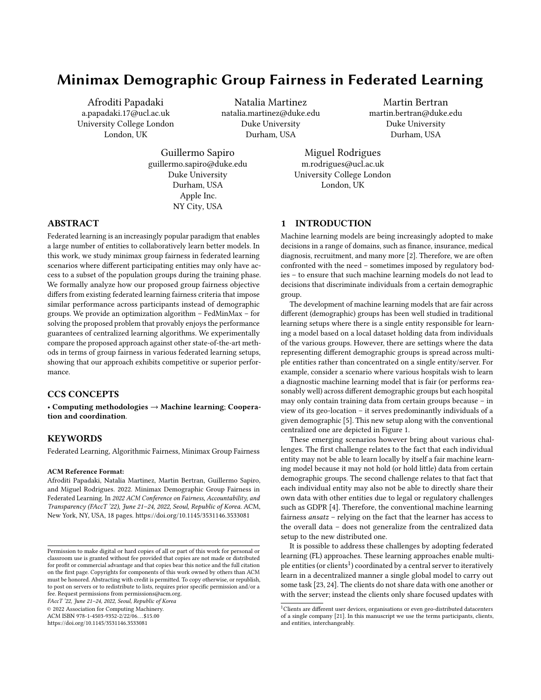gradient ascent or multiplicative weight updates to optimize the weights given the model, and stochastic gradient descent to optimize the model given the weighting coefficients [1, 8, 32].

## 3.2 Group Fairness in Federated Learning

We now describe our proposed group fairness federated learning problem; this problem differs from the previous one because the data is now distributed across multiple clients but each client (or the server) do not have direct access to the data held by other clients. See also Figure 1.

In this setting, we incorporate a categorical variable  $K \in \mathcal{K}$  to our data tuple  $(X; Y; A; K)$  to indicate the clients participating in the federation. We assume that the target demographic groups are pre-determined by the entities participating in the federation (e.g. gender). The joint distribution of these variables is  $p(X;Y;A;K)$  =  $p(K) \cdot p(A|K) \cdot p(X;Y|A;K)$ , where  $p(K)$  represents a prior distribution over clients – which in practice is the fraction of samples that are acquired by client  $K$  relative to the total number of data samples –,  $p(A|K)$  represents the distribution of the groups conditioned on the client, and  $p(X;Y|A;K)$  represents the distribution of the distribution of the input and target variables conditioned on the group and client. We assume that the group-conditional distribution is the same across clients, meaning  $p(X;Y|A;K) = p(X;Y|A)$ . This is required for the equivalence of the proposed problem to client fairness in Lemma 1, but it will also likely hold in most FL settings. Note, however, that our model explicitly allows for the distribution of the demographic groups to depend on the client (via  $p(A|K)$ , accommodating for the fact that certain clients may have a higher (or lower) representation of certain demographic groups over others.

We now aim to learn a model  $h \in \mathcal{H}$  that solves the minimax fairness problem as presented in Eq. 1, but considering that the group loss estimates are split into  $|K|$  estimators associated with each client. We therefore re-express the linear weighted formulation of Eq. 2 using importance weights, allowing to incorporate the role of the different clients, as follows:

$$
\min_{h \in \mathcal{H}} \max_{\mu \in \mathcal{L}} \mathcal{H}^{n}(\mathcal{H})
$$
\n
$$
= \min_{h \in \mathcal{H}} \max_{\mu \in \mathcal{L}} \rho(A = a) w_a r_a(h)
$$
\n
$$
= \min_{h \in \mathcal{H}} \max_{\mu \in \mathcal{L}} \rho(K = k) \mathbf{1}_{\mathcal{H}^{n}(\mathcal{H})} \rho(A = a | K = k) w_a r_a(h)
$$
\n
$$
= \min_{h \in \mathcal{H}} \max_{\mu \in \mathcal{L}} \mathcal{H}^{n}(\mathcal{K} = k) \mathbf{1}_{\mathcal{H}^{n}(\mathcal{H})} \rho(K = k) r_k(h; w);
$$
\n
$$
= \min_{h \in \mathcal{H}} \max_{\mu \in \mathcal{L}} \rho(K = k) r_k(h; w);
$$

where  $r_k(h; w) = p(A = a|K = k)w_a r_a(h)$  is the expected a∈A<br>client risk and  $W_a = \mu_a / p(A = a)$  denotes the importance weight<br>for a particular demographic group for a particular demographic group.

There is an immediate non-trivial challenge that arises within this proposed federated learning setting in relation to the centralized one described earlier: we need to devise an algorithm that solves the objective in Eq. 3 under the constraint that the different clients cannot share their local data with the server or with one another, but – in line with conventional federated learning settings [7, 27, 34, 36]– only local model updates of a global model (or other quantities such as local risks) are shared with the server. This will be addressed later in this paper by the proposed federated optimization.

# 4 CLIENT FAIRNESS VS. GROUP FAIRNESS IN FEDERATED LEARNING

Before proposing a federated learning algorithm to solve our proposed group fairness problem, we first reflect whether a model that solves the more widely used client fairness objective in federated learning settings given by [36]

$$
\min_{h \in \mathcal{H}} \max_{k \in \mathcal{K}} r_k(h) = \min_{h \in \mathcal{H}} \max_{\in |\mathcal{K}|^{-1}} \mathop{\mathbb{E}}_{\mathcal{D}} [\hat{h}(X); Y)]; \tag{4}
$$

where  $\mathcal{D} = \frac{|\mathbf{F}|}{|\mathbf{F}|}$  $k=1$ <br>k=1<br>ks and = {kkkkkkkkkk} is the vector consisting of client over the clients and  $= \{ k \} k \in \mathcal{K}$  is the vector consisting of client<br>weighting coefficients, also solves our proposed minimax group weighting coefficients, also solves our proposed minimax group fairness objective given by

$$
\min_{h \in \mathcal{H}} \max_{a \in \mathcal{A}} r_a(h) = \min_{h \in \mathcal{H}} \max_{\mu \in [\mathcal{A}]^{-1}} \mathop{\mathbb{E}}_{\mathcal{D}\mu} [\left( h(X); Y \right)]; \tag{5}
$$

where  $\mathcal{D}_{\mu} = \big|\mathbf{F}| \atop a=1} |\mathbf{F}| \mu_a p(X; Y | A = a)$  denotes a joint data distribution over sensitive groups and  $\mu = {\mu_a}_{a \in \mathcal{A}}$  is the vector of the group weights.

The following lemma illustrates that a model that is minimax fair with respect to the clients is equivalent to a relaxed minimax fair model with respect to the (demographic) groups.

LEMMA 1. Let  $P_{\mathcal{A}}$  denote a matrix whose entry in row a and column k is  $p(A = a|K = k)$  (i.e., the prior of group a in client k). Then, given a solution to the minimax problem across clients

$$
h^*\colon\mathbf{A}^*\in\arg\min_{h\in\mathcal{H}}\max_{\mathbf{A}\in\mathcal{H}^{N|-1}}\mathbf{E}\big[\hat{h}(X;Y)\big];\tag{6}
$$

 $9 \mu^* = P_{\mathcal{A}}$  \* that is solution to the following constrained minimax problem across sensitive groups:

$$
h^* : \mu^* \in \arg\min_{h \in \mathcal{H}} \max_{\mu \in \mathsf{P}_{\mathcal{A}}} \mathsf{E} \left[ \left( h(X); Y \right) \right]; \tag{7}
$$

where the weighting vector  $\mu$  is constrained to belong to the simplex subset defined by  $\overline{P}_{\mathcal{A}}$   $|\mathcal{K}|^{-1} \subseteq |\mathcal{A}|^{-1}$ . In particular, if the set =  $\mu' \in P_{\mathcal{A}}^{\gamma}$   $|\mathcal{K}|^{-1}$ :  $\mu' \in \arg \min$ h∈H<br>′ max  $max_{\mu \in |\mathcal{A}|^{-1}} E$ <br>are antition  $\mathbb{E} \left[ \left[ (h(X); Y) \right] \right]$ , 0, then  $\mu^* \in \Lambda$ , and the minimax fairness solution across clients is also a

minimax fairness solution across demographic groups.

Lemma 1 proves that being minimax with respect to the clients is equivalent to finding the group minimax model constraining the weighting vectors  $\mu$  to be inside the simplex subset P<sub>A</sub> |K|-1. Therefore, if this set already contains a group minimax weighting vector, then the group minimax model is equivalent to client minimax model. Another way to interpret this result is that being minimax with respect to the clients is the same as being minimax for any group assignment  $A$  such that linear combinations of the groups distributions are able to generate all clients distributions, and there is a group minimax weighting vector in  $P_{\mathcal{A}}$  |N|-1.

Being minimax at the client and group level relies on  $P_{\mathcal{A}}$  | $\mathcal{K}$ |-1 containing the minimax weighting vector. In particular, if for each sensitive group there is a client comprised entirely of this group ( $P_{\mathcal{A}}$ contains a identity block), then  $P_{\mathcal{A}}^{-|\mathcal{K}|-1} = |\mathcal{A}|-1$  and group and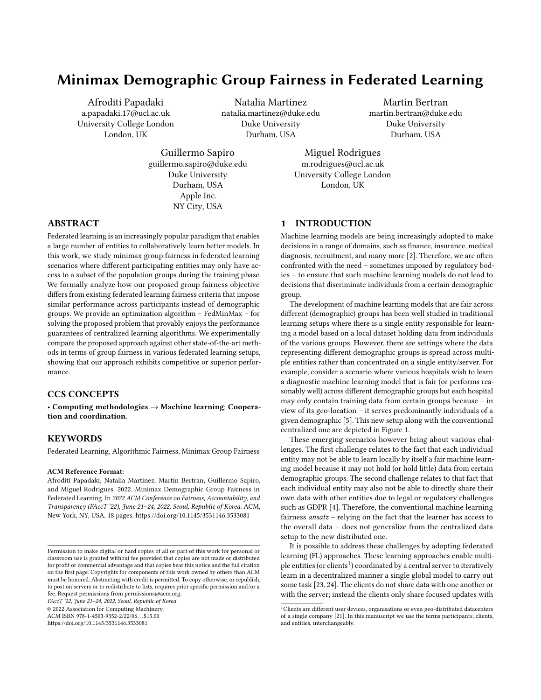client level fairness are guaranteed to be fully compatible. Another trivial example is when at least one of the client's group priors is equal to a group minimax weighting vector. This result also suggests that client level fairness may also differ from group level fairness. This motivates us to develop a new federated learning algorithm to guarantee group fairness that – where the conditions of the lemma hold – also results in client fairness. We experimentally validate the insights deriving from Lemma 1 in Section 6. The proof for Lemma 1 is provided in the supplementary material, Appendix A.

# 5 MINIMAX GROUP FAIRNESS FEDERATING LEARNING ALGORITHM

We now propose an optimization algorithm – Federated Minimax (FedMinMax) – to solve the group fairness problem in Eq. 3.

Let each client k have access to a dataset  $S_k = \{ (x_i^k, i^k; a_i^k) ; i =$ <br> $\cdots n_k$  containing various data points drawn i.i.d. according to 1;:::;  $\{n_k\}$  containing various data points drawn i.i.d according to  $n(X \cdot Y \cdot \Delta | K - k)$ . We also define three additional sets: (a)  $S_{x,y}$  $p(X;Y;A|K = k)$ . We also define three additional sets: (a)  $S_{a;k}$  =  $\{(x_i^k, k, a_i^k) \in S_k : a_i = a\}$  is a set containing all data examples<br>associated with group a in client k; (b)  $S_2 = S_{k,2}$  is the set  $\{(x_i^k, k_i^k, a_i^k) \in S_k : a_i = a\}$  is a set containing all data examples associated with group a in client k; (b)  $S_a = \sum_{k \in \mathcal{S}}$ k ∈K  $\mathcal{S}_{k; a}$ is the set containing all data examples **a**ssociated **w**ith group a across the various clients; and (c)  $S = S_k = S_a$ k∈K<br>les a  $S_k = \sum_{a \in S}$  $S_a = \frac{S_a}{k \epsilon s}$  $k \in K$ acro Ð a∈A<br>ss cl  $s_{a;k}$ is containing all data examples across groups and across clients. Note that, it is possible that  $S_{a,k}$  is empty for some k and some a implying that such a client does not have data realizations for such implying that such a client does not have data realizations for such group.

We will also let the model  $h$  be parametrized via a vector of parameters  $\in$ , i.e.,  $h(\cdot) = h(\cdot; \cdot)$ .<sup>56</sup> We approximate the relevant statistical risks using empirical risks as

$$
f_k(\cdot; \mathbf{w}) = \frac{\mathbf{h}_{\alpha;k}}{\mathbf{h}_{\alpha;k}} \hat{w}_{\alpha} f_{\alpha;k}(\cdot); \quad f_{\alpha}(\cdot) = \frac{\mathbf{h}_{\alpha;k}}{\mathbf{h}_{\alpha;k}} f_{\alpha;k}(\cdot);
$$
\n
$$
\text{where } f_{\alpha;k}(\cdot) = \frac{1}{n_{\alpha;k}} \sum_{(x;\cdot) \in S_{\alpha;k}} \delta_{n,k}(\cdot; \cdot), \quad \delta_{n,k} = \frac{1}{n_{\alpha;k}} \sum_{(x;\cdot) \in S_{\alpha;k}} \delta_{n,k} \delta_{n,k} = \frac{1}{n_{\alpha;k}} \sum_{(x;\cdot) \in S_{\alpha;k}} \delta_{n,k} \delta_{n,k} = \frac{1}{n_{\alpha;k}} \sum_{(x;\cdot) \in S_{\alpha;k}} \delta_{n,k} \delta_{n,k} \delta_{n,k} \delta_{n,k} = \frac{1}{n_{\alpha;k}} \sum_{(x;\cdot) \in S_{\alpha;k}} \delta_{n,k} \delta_{n,k} \delta_{n,k} \delta_{n,k} \delta_{n,k} \delta_{n,k}
$$
\n
$$
\text{estimate of } f_{\alpha}(\cdot; \cdot; \mathbf{w}) \text{ is an estimate of } f_{\alpha}(\cdot; \cdot; \mathbf{w}) \text{ is an estimate of } f_{\alpha}(\cdot; \cdot; \mathbf{w}) \text{ is an estimate of } f_{\alpha}(\cdot; \cdot; \mathbf{w}) \text{ is an estimate of } f_{\alpha}(\cdot; \cdot; \mathbf{w}) \text{ is an estimate of } f_{\alpha}(\cdot; \cdot; \mathbf{w}) \text{ is an estimate of } f_{\alpha}(\cdot; \cdot; \mathbf{w}) \text{ is an estimate of } f_{\alpha}(\cdot; \cdot; \mathbf{w}) \text{ is an estimate of } f_{\alpha}(\cdot; \cdot; \mathbf{w}) \text{ is an estimate of } f_{\alpha}(\cdot; \cdot; \mathbf{w}) \text{ is an estimate of } f_{\alpha}(\cdot; \cdot; \mathbf{w}) \text{ is an estimate of } f_{\alpha}(\cdot; \cdot; \mathbf{w}) \text{ is an estimate of } f_{\alpha}(\cdot; \cdot; \mathbf{w}) \text{ is an estimate of } f_{\alpha}(\cdot; \cdot; \mathbf{w}) \text{ is an estimate of } f_{\alpha}(\cdot; \cdot; \mathbf{w}) \text{ is an estimate of } f_{\alpha}(\cdot; \cdot
$$

estimate of  $r_k$ ( ;*w*),  $r_{\partial}$ ( ) is an estimate of  $r_a$ ( ), and  $r_{\partial}$ ;  $k$ ( ) is an estimate of  $r_{\partial}$  ( ) = estimate of  $r_{a;k}(\ ) = \underset{(X;Y) \sim p(X;Y)}{E}$  $E$ <br>(X;Y)∼ $p(X;Y|A=a;K=k)$ [`(h(X);Y)|A = a;K = k].

We consider the importance weighted empirical risk  $r_k$  since the ents do not have access to the data distribution but instead to a clients do not have access to the data distribution but instead to a dataset with finite samples. Therefore, the clients in coordination with the central server attempt to solve the optimization problem given by:  $\sim$ 

$$
\min_{\epsilon} \max_{\mu \in [\frac{|\mathcal{R}|}{2}]^{+1}} \sum_{a \in \mathcal{A}} \mu_a f_a(\epsilon) = \min_{\epsilon} \max_{\mu \in [\frac{|\mathcal{R}|}{2}]^{+1}} \sum_{k \in \mathcal{K}} \frac{n_k}{n} f_k(\epsilon; w) = (9)
$$
  
The objective in Eq. 9 can be interpreted as a zero-sum game

between two players: the learner aims to minimize the objective by optimizing the model parameters and the adversary seeks to maximize the objective by optimizing the weighting coefficients  $\mu$ .

We use a non-stochastic variant of the stochastic-AFL algorithm introduced in [36]. Our version, provided in Algorithm 1, assumes

#### Algorithm 1 Federated MiniMax (FedMinMax)

**Input:**  $K$ : Set of clients,  $T$  : total number of communication rounds, : model learning rate,  $\mu$ : global adversary learning rate. rounds, : model learning rate,  $\mu$ : global adversary learning rate,<br>S,  $\mu$ : set of examples for group 3 in client  $k$ ,  $8a \in \mathcal{A}$  and  $8k \in \mathcal{K}$  $S_{\alpha,k}$ : set of examples for group a in client k,  $8a \in \mathcal{A}$  and  $8k \in \mathcal{K}$ . <sup>2</sup>: Server **initializes**  $\mu^0 \leftarrow$  = { $|S_a|/|S|\}_{a \in \mathcal{A}}$  and <sup>0</sup> randomly. 2: for  $t = 1$  to  $\overline{T}$  do<br>3: Server computer 3: Server **computes**  $w^{t-1}$  ←  $\mu^{t-1}$ /

- 4: Server broadcasts <sup>t</sup>−<sup>1</sup> , *w* t−1
- 5: **for** each client  $k \in \mathcal{K}$  in parallel do<br>  $\begin{array}{ll} \n\hline\n6: & \n\hline\n\end{array}$   $\begin{array}{ll} \n\hline\n\end{array}$   $\hline\n\end{array}$   $\begin{array}{ll} \n\hline\n\end{array}$   $\hline\n\end{array}$   $\begin{array}{ll} \n\hline\n\end{array}$   $\hline\n\end{array}$   $\begin{array}{ll} \n\hline\n\end{array}$   $\hline\n\end{array}$   $\begin{array}{ll} \$
- 
- 7: Client-k **obtains** and **sends**  $\{f_{a;k}(\begin{bmatrix} t-1 \end{bmatrix}\}_{{a \in \mathcal{A}}}$  and  $\begin{bmatrix} t \end{bmatrix}$  to server
- 8: end for
- 9: Server computes:  $\mathbf{t} \leftarrow$  $k \in \mathcal{K}$  $\frac{n_k}{n}$  t

10: Server updates:

$$
\mu^t \leftarrow \bigcup_{|\mathcal{A}|=1} \mu^{t-1} + \mu \nabla \mu \langle \mu^{t-1}; f_{\partial}(\mu^{t-1}) \rangle
$$
  
11: end for

Outputs:  $\frac{1}{\tau} \prod_{t=1}^{T} t$ 

i<br>İ

that all clients are available to participate in each communication round  $t$ . In each round  $t$ , the clients receive the latest model parameters <sup>t−1</sup>, the clients then perform one gradient descent step using all their available data, and the clients then share the updated model parameters along with certain empirical risks with the server. The server (learner) then performs a weighted average of the client model parameters  $t = \frac{n_k}{n_k} \frac{r_k}{k}$  $k ∈ K$   $\overset{\sim}{\phantom{\sim}}$   $\overset{\sim}{\phantom{0}}$  a projected gradient ascent . The server also step in order to guarantee that the weighting coefficient updates are consistent with the constraints. We use the Euclidean algorithm proposed in [12] in order to implement the projection operation ( Î  $|\mathcal{A}|$ -1 $(\cdot)$ ).

We can show that our proposed algorithm can exhibit convergence guarantees.

LEMMA 2. Consider our federated learning setting (Figure 1, right) where each entity k has access to a local dataset  $S_k = \sum_{a \in \mathcal{A}} S_{a;k}$ , and a∈A<br>a centralized machine learning setting (Figure 1, left) where there is a single entity that has access to a single dataset  $S = \bigcup_{k \in \mathcal{K}} S_k = \bigcup_{k \in \mathcal{K}} S_k$ **Ð Ð**  $S_{\alpha k}$  (i.e., this single entity in the centralized settin k ∈K Ð a∈A<br>ss to  $\mathcal{S}_{a;k}$  (i.e., this single entity in the centralized setting has access to the data of the various clients in the distributed setting). Then, Algorithm 1 (federated) and Algorithm 2 (non-federated, in the supplementary material, Appendix B) lead to the same global model provided that learning rates and model initialization are identical.

The proof for Lemma 2 is provided in Appendix A. This lemma shows that our federated learning algorithm inherits any convergence guarantees of existing centralized machine learning algorithms. In particular, assuming that one can model the single gradient descent step using a -approximate Bayesian Oracle [1], we can show that a centralized algorithm converges and hence our FedMin-Max one converges too (under mild conditions on the loss function, hypothesis class, and learning rates). We provide the convergence guarantees in Lemma A.1, in the supplementary material.

 $^5 \rm{This}$  vector of parameters could for example correspond to the set of weights / biases in a neural network.

 $6$ Note that we assume a convex hypothesis class  $H$ , not a convex vector space . Nevertheless, we use the vector of parameters to describe the empirical form of the problem and the proposed solver for convenience.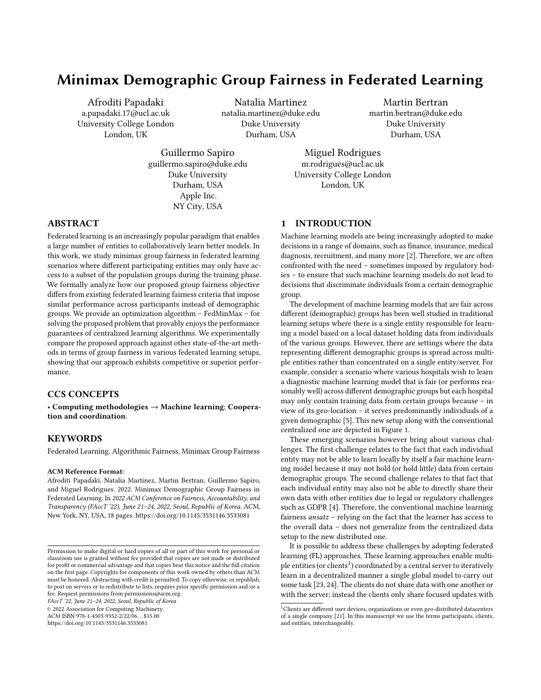FAccT '22, June 21–24, 2022, Seoul, Republic of Korea Papadaki, et al. Papadaki, et al.



Figure 2: Illustration of the optimal hypothesis h and the conditional distributions  $p(Y|X)$  and  $p(X|A)$  for the generated synthetic dataset. Left: The worst group is  $A = 0$  and the minimax optimal hypothesis h (black line) is equal to the optimal model for the worst group (orange line). Right: The distributions  $p(X)$ , and conditional distributions  $p(X|A = 0)$  and  $p(X|A = 1)$  are overlapping.

## 6 EXPERIMENTAL RESULTS

In this section we empirically showcase the applicability and competitive performance of the proposed federated learning algorithm. We apply FedMinMax to diverse federated learning scenarios by utilizing common benchmark datasets with multiple targets and sensitive groups. In particular, we perform experiments on the following datasets:

- Synthetic. We generated a synthetic dataset for binary classification involving two sensitive groups (i.e.,  $|\mathcal{A}| = 2$ ). Let  $N(\mu; 2)$  be the normal distribution with  $\mu$  being the mean<br>and  $2$  being the variance and  $Re(f)$  Bernoulli distribution and  $\,$   $^2$  being the variance, and  $Ber(p)$  Bernoulli distribution with probability  $p$ . The data were generated assuming the group variable  $A \sim Ber(\frac{1}{2})$ , the input features variable  $X \sim N(0, 1)$  and the target variable  $Y|X: A = 3 \sim Ber(h^*)$ , where  $N(0; 1)$  and the target variable  $Y|\dot{X}; A = a \sim Ber(h_a^*)$ , where  $a^* = u^j_a \mathbb{1}[X \le 0] + u^h_a \mathbb{1}[X > 0]$  is the optimal hypothesis for  $a = 0$ .  $A = 3$  We select  $f(u^h, u^h, u^h, u^h) = f_0(s, 0, 0, 0, 3, 0, 1)$  $\alpha = \alpha - \alpha = \alpha$ . We select  $\{u_0^{h} : u_1^{h} : u_0^{l} : u_1^{l}\} = \{0.6; 0.9; 0.3; 0.1\}$ .<br>As illustrated in Figure 2, left side, the optimal hypothesis b  $\frac{1}{2}$ ;  $\frac{1}{2}$  is illustrated in Figure 2, left side, the optimal hypothesis h<br>is equal to the optimal model for groun  $4 - 0$ . The results is equal to the optimal model for group  $A = 0$ . The results on this dataset are reported in the supplementary material, Appendix D.
- Adult [29]. Adult is a binary classification dataset consisting of <sup>32</sup>; <sup>561</sup> entries for predicting yearly income based on twelve input features such as age, race, education and marital status. We consider four sensitive groups (i.e.,  $|\mathcal{A}| = 4$ ) created by combining the gender labels and the yearly income as follows: {Male w/ income > 50K, Male w/ income <<sup>=</sup> 50K, Female w/ income  $> 50K$ , Female w/ income  $\lt$  = 50K}.
- FashionMNIST [44]. FashionMNIST is a grayscale image dataset which includes <sup>60</sup>; <sup>000</sup> training images and <sup>10</sup>; <sup>000</sup> testing images. The images consist of  $28 \times 28$  pixels and are classified into 10 clothing categories. In our experiments we consider each of the target categories to be a sensitive group too, (i.e.,  $|\mathcal{A}| = 10$ ).
- CIFAR-10 [25]. CIFAR-10 is a collection of <sup>60</sup>; <sup>000</sup> colour images of  $32 \times 32$  pixels. Each image contains one out of 10 object classes. There are <sup>50</sup>; <sup>000</sup> training images and <sup>10</sup>; <sup>000</sup> test images. We use all ten target categories, which we assign both as targets and sensitive groups (i.e.,  $|\mathcal{A}| = 10$ ).
- ACS Employment [9]. ACS Employment is a recent dataset constructed using ACS PUMS data for predicting whether an

individual is employed or not. For our experiments we use the 2018 1-Year data for all the US states and Puerto Rico. We combine race and utility labels to generate the following sensitive groups: : {Employed White, Employed Black, Employed Other, Unemployed White, Unemployed Black, Unemployed Other} (i.e.,  $|\mathcal{A}| = 6$ ). We also conduct experiments where the sensitive class is race using the original 9 labels that we report in the supplementary material, Appendix D.

Following other standard baselines, such as [7, 36], we assign the target categories as sensitive attributes in the image datasets, instead of using arbitrary labels.

We examine three federated learning settings, that we categorize based on the sensitive group allocation on clients as follows:

- (1) Equal access to Sensitive Groups (ESG), where every client has access to all sensitive groups but does not have enough data to train a model individually. Each client in the federation has access to the same amount of the sensitive classes (i.e.,  $n_i = n_j 8i; j \in \mathcal{K}; i$ , j and  $n_{a;i} = n_{a;j} 8i; j \in$  $\mathcal{K}$ ;  $a \in \mathcal{A}$ ; i, j). Here, we examine a case where group and client fairness are not equivalent.
- (2) Partial access to Sensitive Groups (PSG), where each participant has access to a subset of the available groups memberships. In particular, the data distribution is unbalanced across participants since the size of local datasets differs (i.e.,  $n_i$ ,  $n_i \otimes i$ ;  $j \in \mathcal{K}$ ;  $i$ ,  $j$ ). Akin to ESG, this is a scenario where group and client fairness are incompatible. We use this scenario to compare the performances when there is low or no local representation of particular groups.
- (3) Access to a Single Sensitive Group (SSG), where each client holds data from one sensitive group, for showcasing the group and client fairness objectives equivalence derived from Lemma 1. Similarly to PSG setting, the size of the local dataset varies across clients.

Note that ESG is an i.i.d. data scenario while PSG and SSG are non-i.i.d. data settings. Each client's data is unique, meaning that there are no duplicated examples across clients. In all experiments we consider a federation consisting of 40 clients and a single server that orchestrates the training procedure. We benchmark our approach against AFL [36], q-FedAvg [27], TERM [26] and FedAvg [34]. As a baseline, we also run FedMinMax with one client (akin to centralized ML), that we denote Centralized Minmax Baseline, to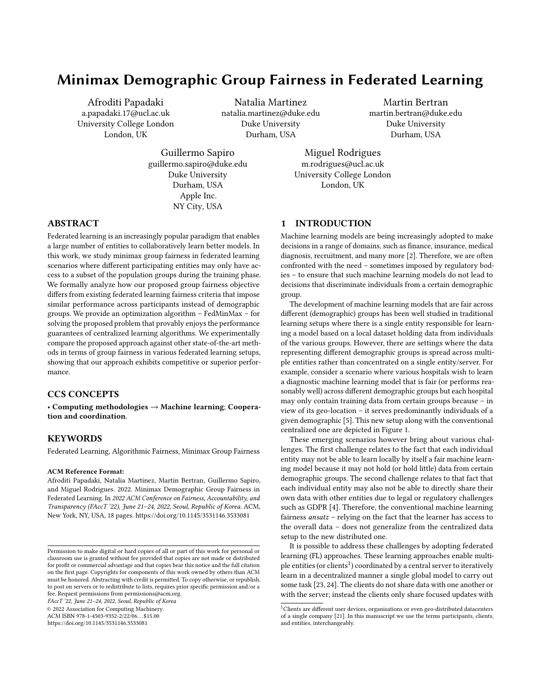Minimax Demographic Group Fairness in Federated Learning FACCT (22, June 21-24, 2022, Seoul, Republic of Korea



Figure 3: Comparison of the worst group, best group, and average risks and errors across three runs for AFL, FedAvg, q-FedAvg, TERM, FedMinmax and Centralized Minmax Baseline, across the different federated learning scenarios. Each bar reports the mean and standard deviation of the respective metric on the testing set. The numerical values, showing the advantages of the proposed framework, are provided in Tables 4, 6, 8, 9 and 11, in the supplementary material.

confirm Lemma 2. We do not compare to baselines that explicitly employ a different fairness metric (e.g., demographic parity) since this is not the focus of this work. Instead, we illustrate the efficiency of considering global demographics across entities instead of multiple local ones, as in [48], using a variation of the proposed algorithm – namely LocalFedMinMax – where we optimize for each local group rather than global ones.

For all the datasets, we compute the means and standard deviations of the errors and risks over three runs. We assume that every client is available to participate at each communication round for every method to make the comparison more fair. We also perform a grid search over hyper-parameters and select the best combination for each algorithm. More details about model architectures and experiments are provided in Appendix C. The code for FedMinMax is available at https://github.com/apapadaki/FedMinMax .

# 6.1 Global group fairness vs other FL baselines and centralized ML

We begin by investigating the worst group, the best group and the average utility performance for the Adult, FashionMNIST, CIFAR-10 and ACS Employment datasets in Figure 3. We present the mean and standard deviation of the metrics on the test dataset.

FedMinMax enjoys a similar performance to the Centralized Minimax Baseline in all settings, as established in Lemma 2. AFL

produces results that are comparable to FedMinMax and Centralized Minmax Baseline only in SSG, where group fairness is implied by client fairness, in line with Lemma 1. FedAvg has similar error on the best group across federated settings, however the the worst group risk increases as the local data becomes more heterogeneous (i.e., in PSG and SSG). Finally, q-FedAvg and TERM have superior performance on the worst group compared to AFL and FedAvg in PSG and ESG in many datasets, but do not to achieve minimax group fairness on any of the FL settings. Note that FedMinMax has the best worst group performance in all settings as expected. We provide the numerical values, illustrating the efficiency of the proposed approach for every setting and dataset, in the supplementary material.

Next we provide the final group weighting coefficients for the minimax approaches AFL, FedMinMax, and Centralized Minmax Baseline to further examine the connection among (global) group fairness and client fairness in FL settings. The results are summarized in Figure 4. Note that some of the illustrated weighting coefficients are overlapping.

The proposed approach yields similar group weights across all settings. FedMinMax also achieves the same weighting coefficients to Centralized Minmax Baseline, akin to Lemma 2. AFL produces weights similar to the group priors in ESG that move towards the minimax weighting coefficients the more we increase the heterogeneity w.r.t. the sensitive groups. AFL achieves similar weights to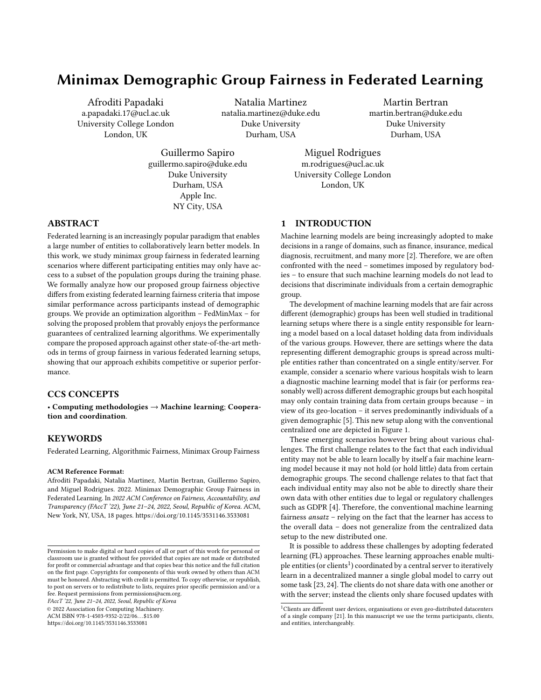

during the training time. We also provide the prior group distribution  $p(A)$ . Note that the weighting coefficients were produced based on the group risks on the training dataset and might not necessarily correspond to the group risks on the test set.

FedMinMax and Centralized Minmax Baseline only in SSG scenario where each participant has access to exactly one group, following Lemma 1. Note that the group weighting coefficients are updated based on the risks calculated on the training set and might not generalize to the testing set for every dataset. We provide a complete description of the weighting coefficients for each approach, in the supplementary material.

# 6.2 Global group fairness vs. within-client fairness

We demonstrate the efficiency of considering global demographics across entities instead of multiple local ones, as in [48]. For these experiments, we re-purpose our algorithm – we call the adjusted version LocalFedMinMax – so that the adversary proposes a weighting coefficient for each group located in a client (i.e.,  $\mu = {\{\{\mu_{a;k}\}_{a \in \mathcal{A}}\}_{k \in \mathcal{K}}}.$  In particular, we com

In particular, we compare to the following problem:

$$
\min_{\epsilon} \max_{\mu \in \mathbb{R}^{|\mathcal{A}||\mathcal{K}|-1}} \bigoplus_{a \in \mathcal{A}} \bigoplus_{k \in \mathcal{K}} \mu_{a;k} \hat{f}_{a;k}(\cdot): \tag{10}
$$

Recall that the adversary in our proposed algorithm uses a single weighting coefficient for every common demographic group (i.e.,  $\mu = {\mu_a}_{a \in \mathcal{A}}$ ). However, this optimization objective assumes that each demographic group that a client has access to is treated as a unique sensitive group even if the same group exists in several clients. We provide the detailed description of LocalFedMinMax in Algorithm 3, Appendix E.

In Table 1 we report results for both approaches on two federations consisting of 10 and 40 participants, respectively. LocalFed-MinMax and FedMinMax offer similar improvement on the worst group on SSG regardless the number of clients. We also notice a similar behavior in the smaller federated network for the ESG scenario. In the remaining settings, LocalFedMinMax, leads to a worst performance as the amount of client increases and the number of data for each group per client reduces. On the other hand, FedMinMax is not effected by the local group representation since it aggregates the statistics received by each client and updates the weights for (global) demographics, leading up to a better generalization performance.

## 7 CONCLUSIONS

In this work, we formulate (demographic) group fairness in federated learning setups where different participating entities may only have access to a subset of the population groups during the training phase (but not necessarily the testing phase), exhibiting minmax fairness performance guarantees akin to those in centralized machine learning settings.

We formally show how our fairness definition differs from the existing fair federated learning works, offering conditions under which conventional client-level fairness is equivalent to group-level fairness. We also provide an optimization algorithm, FedMinMax, to solve the minmax group fairness problem in federated setups that exhibits minmax guarantees akin to those of minmax group fair centralized machine learning algorithms. We empirically confirm that our method outperforms existing federated learning methods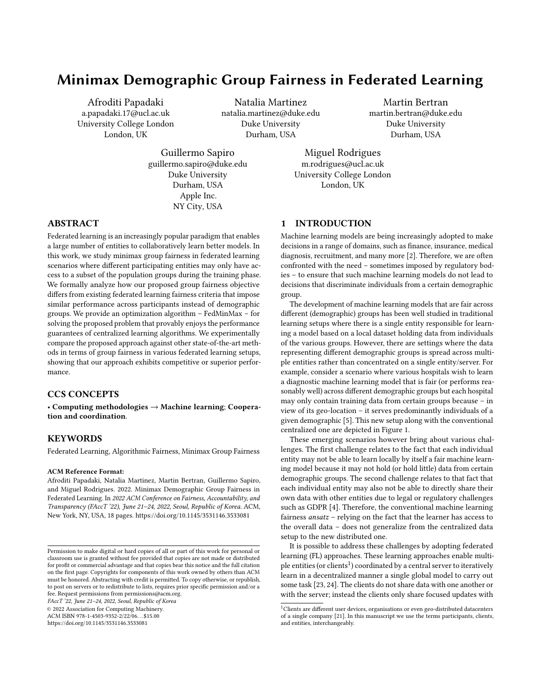Table 1: Comparison of the worst group risk achieved for FedMinMax and LocalFedMinMax on FashionMNIST and CIFAR-10 datasets. We highlight the worst values. Extended versions for both datasets can be found in Tables 14 and 15.

|                |                   | <b>FashionMNIST</b> |                   |                   |                   |                   |  |  |  |  |  |
|----------------|-------------------|---------------------|-------------------|-------------------|-------------------|-------------------|--|--|--|--|--|
|                |                   | 10 Clients          |                   | 40 Clients        |                   |                   |  |  |  |  |  |
| Method         | <b>ESG</b>        | <b>PSG</b>          | <b>SSG</b>        | <b>ESG</b>        | <b>PSG</b>        | <b>SSG</b>        |  |  |  |  |  |
| LocalFedMinMax | $0.316 \pm 0.092$ | $0.331 \pm 0.007$   | $0.309 \pm 0.013$ | $0.346 \pm 0.081$ | $0.331 \pm 0.021$ | $0.31 \pm 0.005$  |  |  |  |  |  |
| FedMinMax      | $0.31 \pm 0.005$  | $0.308 \pm 0.012$   | $0.308 \pm 0.003$ | $0.307 \pm 0.01$  | $0.31 \pm 0.008$  | $0.309 \pm 0.011$ |  |  |  |  |  |
|                |                   |                     |                   | CIFAR-10          |                   |                   |  |  |  |  |  |
|                |                   | 10 Clients          |                   |                   | 40 Clients        |                   |  |  |  |  |  |
| Method         | <b>ESG</b>        | <b>PSG</b>          | <b>SSG</b>        | <b>ESG</b>        | <b>PSG</b>        | <b>SSG</b>        |  |  |  |  |  |
| LocalFedMinMax | $0.358 + 0.008$   | $0.353 \pm 0.042$   | $0.352 \pm 0.0$   | $0.381 \pm 0.004$ | $0.378 \pm 0.005$ | $0.352 \pm 0.007$ |  |  |  |  |  |
| FedMinMax      | $0.352 \pm 0.02$  | $0.351 \pm 0.005$   | $0.351 \pm 0.0$   | $0.351 \pm 0.002$ | $0.351 \pm 0.009$ | $0.351 \pm 0.002$ |  |  |  |  |  |

in terms of group fairness in various learning settings and validate the conditions under which the competing approaches yield the same solution as our objective.

# ACKNOWLEDGMENTS

UCL authors were supported by Cisco under grant #217462. Duke University authors were partially supported by NSF, NGA, ONR, Simons Foundation, and Cisco.

## REFERENCES

- [1] Robert S. Chen, Brendan Lucier, Yaron Singer, and Vasilis Syrgkanis. 2017. Robust Optimization for Non-Convex Objectives. In Advances in Neural Information Processing Systems, I. Guyon, U. V. Luxburg, S. Bengio, H. Wallach, R. Fergus, S. Vishwanathan, and R. Garnett (Eds.), Vol. 30. Curran Associates, Inc. [https://proceedings.neurips.cc/paper/2017/file/](https://proceedings.neurips.cc/paper/2017/file/10c66082c124f8afe3df4886f5e516e0-Paper.pdf) [10c66082c124f8afe3df4886f5e516e0-Paper.pdf](https://proceedings.neurips.cc/paper/2017/file/10c66082c124f8afe3df4886f5e516e0-Paper.pdf)
- [2] Alexandra Chouldechova and Aaron Roth. 2020. A Snapshot of the Frontiers of Fairness in Machine Learning. Commununications of the ACM 63, 5 (April 2020), 82–89.<https://doi.org/10.1145/3376898>
- [3] Lingyang Chu, Lanjun Wang, Yanjie Dong, Jian Pei, Zirui Zhou, and Yong Zhang. 2021. FedFair: Training Fair Models In Cross-Silo Federated Learning. arXiv[:2109.05662](https://arxiv.org/abs/2109.05662) [cs.LG]
- [4] European Commission. [n. d.]. Reform of EU data protection rules 2018. European Commission. [https://ec.europa.eu/commission/sites/beta-political/files/data](https://ec.europa.eu/commission/sites/beta-political/files/data-protection-factsheet-changes_en.pdf)[protection-factsheet-changes\\_en.pdf https://ec.europa.eu/commission/sites/](https://ec.europa.eu/commission/sites/beta-political/files/data-protection-factsheet-changes_en.pdf) [beta-political/files/data-protection-factsheet-changes\\_en.pdf.](https://ec.europa.eu/commission/sites/beta-political/files/data-protection-factsheet-changes_en.pdf)
- [5] Sen Cui, Weishen Pan, Jian Liang, Changshui Zhang, and Fei Wang. 2021. Addressing Algorithmic Disparity and Performance Inconsistency in Federated Learning. In Thirty-Fifth Conference on Neural Information Processing Systems. <https://openreview.net/forum?id=WwqOoNnA8f>
- [6] Sen Cui, Weishen Pan, Jian Liang, Changshui Zhang, and Fei Wang. 2021. Fair and Consistent Federated Learning. CoRR abs/2108.08435 (2021). arXiv[:2108.08435](https://arxiv.org/abs/2108.08435) <https://arxiv.org/abs/2108.08435>
- [7] Yuyang Deng, Mohammad Mahdi Kamani, and Mehrdad Mahdavi. 2020. Distributionally Robust Federated Averaging. Advances in Neural Information Processing Systems 33 (2020).
- [8] Emily Diana, Wesley Gill, Michael Kearns, Krishnaram Kenthapadi, and Aaron Roth. 2020. Convergent Algorithms for (Relaxed) Minimax Fairness. arXiv preprint arXiv:2011.03108 (2020).
- [9] Frances Ding, Moritz Hardt, John Miller, and Ludwig Schmidt. 2021. Retiring Adult: New Datasets for Fair Machine Learning. In Advances in Neural Information Processing Systems, A. Beygelzimer, Y. Dauphin, P. Liang, and J. Wortman Vaughan (Eds.). [https://openreview.net/forum?id=bYi\\_2708mKK](https://openreview.net/forum?id=bYi_2708mKK)
- [10] Wei Du and Xintao Wu. 2021. Robust Fairness-aware Learning Under Sample Selection Bias. CoRR abs/2105.11570 (2021). arXiv[:2105.11570 https://arxiv.org/](https://arxiv.org/abs/2105.11570) [abs/2105.11570](https://arxiv.org/abs/2105.11570)
- [11] Wei Du, Depeng Xu, Xintao Wu, and Hanghang Tong. 2020. Fairness-aware Agnostic Federated Learning. CoRR abs/2010.05057 (2020). arXiv[:2010.05057](https://arxiv.org/abs/2010.05057) <https://arxiv.org/abs/2010.05057>
- [12] John Duchi, Shai Shalev-Shwartz, Yoram Singer, and Tushar Chandra. 2008. Efficient Projections onto the l1-Ball for Learning in High Dimensions. In Proceedings of the 25th International Conference on Machine Learning (Helsinki, Finland) (ICML '08). Association for Computing Machinery, New York, NY, USA, 272–279. <https://doi.org/10.1145/1390156.1390191>
- [13] Cynthia Dwork, Moritz Hardt, Toniann Pitassi, Omer Reingold, and Richard S. Zemel. 2011. Fairness Through Awareness. CoRR abs/1104.3913 (2011). arXiv[:1104.3913](https://arxiv.org/abs/1104.3913)<http://arxiv.org/abs/1104.3913>
- [14] Yahya H. Ezzeldin, Shen Yan, Chaoyang He, Emilio Ferrara, and Salman Avestimehr. 2021. FairFed: Enabling Group Fairness in Federated Learning. arXiv[:2110.00857](https://arxiv.org/abs/2110.00857) [cs.LG]
- [15] Zhenan Fan, Huang Fang, Zirui Zhou, Jian Pei, Michael P. Friedlander, Changxin Liu, and Yong Zhang. 2021. Improving Fairness for Data Valuation in Federated Learning. arXiv[:2109.09046](https://arxiv.org/abs/2109.09046) [cs.LG]
- [16] Sorelle A. Friedler, Carlos Scheidegger, Suresh Venkatasubramanian, Sonam Choudhary, Evan P. Hamilton, and Derek Roth. 2019. A Comparative Study of Fairness-Enhancing Interventions in Machine Learning. In Proceedings of the Conference on Fairness, Accountability, and Transparency (Atlanta, GA, USA) (FAT\* '19). Association for Computing Machinery, New York, NY, USA, 329–338. <https://doi.org/10.1145/3287560.3287589>
- [17] Arthur M Geoffrion. 1968. Proper efficiency and the theory of vector maximization. Journal of mathematical analysis and applications 22, 3 (1968), 618–630.
- [18] Moritz Hardt, Eric Price, and Nathan Srebro. 2016. Equality of Opportunity in Supervised Learning. In Proceedings of the 30th International Conference on Neural Information Processing Systems (Barcelona, Spain) (NIPS'16). Curran Associates Inc., Red Hook, NY, USA, 3323–3331.
- [19] Samuel Horváth, Stefanos Laskaridis, Mario Almeida, Ilias Leontiadis, Stylianos Venieris, and Nicholas Donald Lane. 2021. FjORD: Fair and Accurate Federated Learning under heterogeneous targets with Ordered Dropout. In Thirty-Fifth Conference on Neural Information Processing Systems. [https://openreview.net/](https://openreview.net/forum?id=4fLr7H5D_eT) [forum?id=4fLr7H5D\\_eT](https://openreview.net/forum?id=4fLr7H5D_eT)
- [20] Zeou Hu, Kiarash Shaloudegi, Guojun Zhang, and Yaoliang Yu. 2020. FedMGDA+: Federated Learning meets Multi-objective Optimization. CoRR abs/2006.11489 (2020). arXiv[:2006.11489 https://arxiv.org/abs/2006.11489](https://arxiv.org/abs/2006.11489)
- [21] Peter Kairouz, H. Brendan McMahan, Brendan Avent, Aurélien Bellet, Mehdi Bennis, Arjun Nitin Bhagoji, Keith Bonawitz, Zachary Charles, Graham Cormode, Rachel Cummings, Rafael G. L. D'Oliveira, Salim El Rouayheb, David Evans, Josh Gardner, Zachary Garrett, Adrià Gascón, Badih Ghazi, Phillip B. Gibbons, Marco Gruteser, Zaïd Harchaoui, Chaoyang He, Lie He, Zhouyuan Huo, Ben Hutchinson, Justin Hsu, Martin Jaggi, Tara Javidi, Gauri Joshi, Mikhail Khodak, Jakub Konecný, Aleksandra Korolova, Farinaz Koushanfar, Sanmi Koyejo, Tancrède Lepoint, Yang Liu, Prateek Mittal, Mehryar Mohri, Richard Nock, Ayfer Özgür, Rasmus Pagh, Mariana Raykova, Hang Qi, Daniel Ramage, Ramesh Raskar, Dawn Song, Weikang Song, Sebastian U. Stich, Ziteng Sun, Ananda Theertha Suresh, Florian Tramèr, Praneeth Vepakomma, Jianyu Wang, Li Xiong, Zheng Xu, Qiang Yang, Felix X. Yu, Han Yu, and Sen Zhao. 2019. Advances and Open Problems in Federated Learning. CoRR abs/1912.04977 (2019). arXiv[:1912.04977](https://arxiv.org/abs/1912.04977)<http://arxiv.org/abs/1912.04977>
- [22] Sai Praneeth Karimireddy, Satyen Kale, Mehryar Mohri, Sashank Reddi, Sebastian Stich, and Ananda Theertha Suresh. 2020. SCAFFOLD: Stochastic Controlled Averaging for Federated Learning. In Proceedings of the 37th International Conference on Machine Learning (Proceedings of Machine Learning Research, Vol. 119), Hal Daumé III and Aarti Singh (Eds.). PMLR, 5132–5143. <https://proceedings.mlr.press/v119/karimireddy20a.html>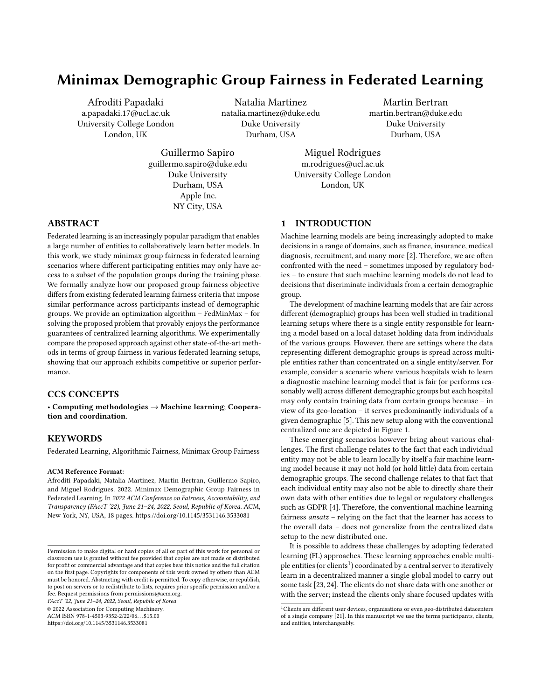FAccT '22, June 21–24, 2022, Seoul, Republic of Korea Papadaki, et al. Papadaki, et al.

- [23] Jakub Konecný, H. Brendan McMahan, Daniel Ramage, and Peter Richtárik. 2016. Federated Optimization: Distributed Machine Learning for On-Device Intelligence. CoRR abs/1610.02527 (2016). arXiv[:1610.02527](https://arxiv.org/abs/1610.02527) [http://arxiv.org/abs/](http://arxiv.org/abs/1610.02527) [1610.02527](http://arxiv.org/abs/1610.02527)
- [24] Jakub Konecný, H. Brendan McMahan, Felix X. Yu, Peter Richtárik, Ananda Theertha Suresh, and Dave Bacon. 2016. Federated Learning: Strategies for Improving Communication Efficiency. In NeurIPS Workshop on Private Multi-Party Machine Learning.<https://arxiv.org/abs/1610.05492>
- [25] Alex Krizhevsky, Vinod Nair, and Geoffrey Hinton. [n. d.]. CIFAR-10 (Canadian Institute for Advanced Research). ([n. d.]). [http://www.cs.toronto.edu/~kriz/cifar.](http://www.cs.toronto.edu/~kriz/cifar.html) [html](http://www.cs.toronto.edu/~kriz/cifar.html)
- [26] Tian Li, Ahmad Beirami, Maziar Sanjabi, and Virginia Smith. 2021. Tilted Empirical Risk Minimization. In International Conference on Learning Representations. <https://openreview.net/forum?id=K5YasWXZT3O>
- [27] Tian Li, Maziar Sanjabi, Ahmad Beirami, and Virginia Smith. 2020. Fair Resource Allocation in Federated Learning. In International Conference on Learning Representations.<https://openreview.net/forum?id=ByexElSYDr>
- [28] Xiaoxiao Li, Meirui JIANG, Xiaofei Zhang, Michael Kamp, and Qi Dou. 2021. FedBN: Federated Learning on Non-IID Features via Local Batch Normalization. In International Conference on Learning Representations. [https://openreview.net/](https://openreview.net/forum?id=6YEQUn0QICG) [forum?id=6YEQUn0QICG](https://openreview.net/forum?id=6YEQUn0QICG)
- [29] M. Lichman. 2013. UCI Machine Learning Repository. [http://archive.ics.uci.edu/](http://archive.ics.uci.edu/ml) [ml](http://archive.ics.uci.edu/ml)
- [30] Christos Louizos, Kevin Swersky, Yujia Li, Max Welling, and Richard S. Zemel. 2016. The Variational Fair Autoencoder. In 4th International Conference on Learning Representations, ICLR 2016, San Juan, Puerto Rico, May 2-4, 2016, Conference Track Proceedings, Yoshua Bengio and Yann LeCun (Eds.). [http://arxiv.org/abs/](http://arxiv.org/abs/1511.00830) [1511.00830](http://arxiv.org/abs/1511.00830)
- [31] Lingjuan Lyu, Xinyi Xu, Qian Wang, and Han Yu. 2020. Collaborative Fairness in Federated Learning. Springer International Publishing, Cham, 189–204. [https:](https://doi.org/10.1007/978-3-030-63076-8_14) [//doi.org/10.1007/978-3-030-63076-8\\_14](https://doi.org/10.1007/978-3-030-63076-8_14)
- [32] Natalia Martinez, Martin Bertran, and Guillermo Sapiro. 2020. Minimax Pareto Fairness: A Multi Objective Perspective. In Proceedings of the 37th International Conference on Machine Learning (Proceedings of Machine Learning Research, Vol. 119), Hal Daumé III and Aarti Singh (Eds.). PMLR, 6755–6764. <https://proceedings.mlr.press/v119/martinez20a.html>
- [33] Andreu Mas-Colell, Michael Whinston, and Jerry Green. 1995. Microeconomic Theory. Oxford University Press. [https://EconPapers.repec.org/RePEc:oxp:](https://EconPapers.repec.org/RePEc:oxp:obooks:9780195102680) [obooks:9780195102680](https://EconPapers.repec.org/RePEc:oxp:obooks:9780195102680)
- [34] H. Brendan McMahan, Eider Moore, Daniel Ramage, and Blaise Agüera y Arcas. 2016. Federated Learning of Deep Networks using Model Averaging. CoRR abs/1602.05629 (2016). arXiv[:1602.05629](https://arxiv.org/abs/1602.05629)<http://arxiv.org/abs/1602.05629>
- [35] Kaisa Miettinen. 2012. Nonlinear Multiobjective Optimization. Vol. 12. Springer Science & Business Media.
- [36] Mehryar Mohri, Gary Sivek, and Ananda Theertha Suresh. 2019. Agnostic federated learning. In 36th International Conference on Machine Learning, ICML 2019 (36th International Conference on Machine Learning, ICML 2019). International Machine Learning Society (IMLS), 8114–8124. 36th International Conference on Machine Learning, ICML 2019 ; Conference date: 09-06-2019 Through 15-06-2019.
- [37] Muhammad Tahir Munir, Muhammad Mustansar Saeed, Mahad Ali, Zafar Ayyub Qazi, and Ihsan Ayyub Qazi. 2021. FedPrune: Towards Inclusive Federated Learning. arXiv[:2110.14205](https://arxiv.org/abs/2110.14205) [cs.LG]
- [38] Lokesh Nagalapatti and Ramasuri Narayanam. 2021. Game of Gradients: Mitigating Irrelevant Clients in Federated Learning. Proceedings of the AAAI Conference on Artificial Intelligence 35, 10 (May 2021), 9046–9054. [https://ojs.aaai.org/index.](https://ojs.aaai.org/index.php/AAAI/article/view/17093) [php/AAAI/article/view/17093](https://ojs.aaai.org/index.php/AAAI/article/view/17093)
- [39] Adam Paszke, Sam Gross, Francisco Massa, Adam Lerer, James Bradbury, Gregory Chanan, Trevor Killeen, Zeming Lin, Natalia Gimelshein, Luca Antiga, Alban Desmaison, Andreas Kopf, Edward Yang, Zachary DeVito, Martin Raison, Alykhan Tejani, Sasank Chilamkurthy, Benoit Steiner, Lu Fang, Junjie Bai, and Soumith Chintala. 2019. PyTorch: An Imperative Style, High-Performance Deep Learning Library. In Advances in Neural Information Processing Systems 32, H. Wallach, H. Larochelle, A. Beygelzimer, F. d'Alché-Buc, E. Fox, and R. Garnett (Eds.). Curran Associates, Inc., 8024–8035. [http://papers.neurips.cc/paper/9015-pytorch](http://papers.neurips.cc/paper/9015-pytorch-an-imperative-style-high-performance-deep-learning-library.pdf)[an-imperative-style-high-performance-deep-learning-library.pdf](http://papers.neurips.cc/paper/9015-pytorch-an-imperative-style-high-performance-deep-learning-library.pdf)
- [40] Amirhossein Reisizadeh, Farzan Farnia, Ramtin Pedarsani, and Ali Jadbabaie. 2020. Robust Federated Learning: The Case of Affine Distribution Shifts. In Advances in Neural Information Processing Systems, H. Larochelle, M. Ranzato, R. Hadsell, M. F. Balcan, and H. Lin (Eds.), Vol. 33. Curran Associates, Inc., 21554–21565. [https://proceedings.neurips.cc/paper/2020/file/](https://proceedings.neurips.cc/paper/2020/file/f5e536083a438cec5b64a4954abc17f1-Paper.pdf) [f5e536083a438cec5b64a4954abc17f1-Paper.pdf](https://proceedings.neurips.cc/paper/2020/file/f5e536083a438cec5b64a4954abc17f1-Paper.pdf)
- [41] Jae Ro, Mingqing Chen, Rajiv Mathews, Mehryar Mohri, and Ananda Theertha Suresh. 2021. Communication-Efficient Agnostic Federated Averaging. In Proc. Interspeech 2021. 871–875.<https://doi.org/10.21437/Interspeech.2021-153>
- [42] Borja Rodríguez-Gálvez, Filip Granqvist, Rogier van Dalen, and Matt Seigel. 2021. Enforcing fairness in private federated learning via the modified method of differential multipliers. arXiv[:2109.08604](https://arxiv.org/abs/2109.08604) [cs.LG]
- [43] Zheng Wang, Xiaoliang Fan, Jianzhong Qi, Chenglu Wen, Cheng Wang, and Rongshan Yu. 2021. Federated Learning with Fair Averaging. In IJCAI.
- [44] Han Xiao, Kashif Rasul, and Roland Vollgraf. 2017. Fashion-MNIST: a Novel Image Dataset for Benchmarking Machine Learning Algorithms. arXiv[:cs.LG/1708.07747](https://arxiv.org/abs/cs.LG/1708.07747) [cs.LG]
- [45] Xubo Yue, Maher Nouiehed, and Raed Al Kontar. 2021. GIFAIR-FL: An Approach for Group and Individual Fairness in Federated Learning. CoRR abs/2108.02741 (2021). arXiv[:2108.02741 https://arxiv.org/abs/2108.02741](https://arxiv.org/abs/2108.02741)
- [46] Yuchen Zeng, Hongxu Chen, and Kangwook Lee. 2021. Improving Fairness via Federated Learning. arXiv[:2110.15545](https://arxiv.org/abs/2110.15545) [cs.LG]
- [47] Daniel Yue Zhang, Ziyi Kou, and Dong Wang. 2020. FairFL: A Fair Federated Learning Approach to Reducing Demographic Bias in Privacy-Sensitive Classification Models. In 2020 IEEE International Conference on Big Data (Big Data). 1051–1060.<https://doi.org/10.1109/BigData50022.2020.9378043>
- [48] Fengda Zhang, Kun Kuang, Yuxuan Liu, Chao Wu, Fei Wu, Jiaxun Lu, Yunfeng Shao, and Jun Xiao. 2021. Unified Group Fairness on Federated Learning. arXiv[:2111.04986](https://arxiv.org/abs/2111.04986) [cs.LG]

## A APPENDIX: PROOFS

 $=$ 

LEMMA 1. Let  $P_{\mathcal{A}}$  denote a matrix whose entry in row a and column k is  $p(A = a|K = k)$  (i.e., the prior of group a in client k). Then, given a solution to the minimax problem across clients

$$
h^*, \quad * \in \arg\min_{h \in \mathcal{H}} \max_{\in \ |\mathcal{K}|^{-1}} \mathop{E}_{\mathcal{D}} [\left( h(X); Y \right)]; \tag{11}
$$

 $9 \mu^* = P_{\mathcal{A}}$  \* that is solution to the following constrained minimax problem across sensitive groups:

$$
h^*; \mu^* \in \arg\min_{h \in \mathcal{H}} \max_{\mu \in P_{\mathcal{A}}} E\left[ \left( h(X); Y \right) \right];\tag{12}
$$

where the weighting vector  $\mu$  is constrained to belong to the simplex subset defined by  $\overline{P}_{\mathcal{A}}$   $|\mathcal{K}|^{-1} \subseteq |\mathcal{A}|^{-1}$ . In particular, if the set =  $\mu' \in P_{\mathcal{A}}$   $|\mathcal{K}|^{-1}$ :  $\mu' \in \arg \min$ h∈H<br>′ max  $\max_{\mu \in [\mathcal{A}]^{-1}} E_{\mu}$  $\mathbb{E} \left[ \left[ (h(X); Y) \right] \right]$ , 0, then

 $\mu^* \in \Lambda$ , and the minimax fairness solution across clients is also a minimax fairness solution across demographic groups.

PROOF. The objective for optimizing the global model for the worst mixture of client distributions is:

$$
\min_{h \in \mathcal{H}} \max_{\substack{\in \ |\mathcal{K}|^{-1} \ \mathcal{D} \\ |\mathbf{F}|}} \mathbb{E} \left[ l(h(X); Y) \right]
$$
\n
$$
\min_{h \in \mathcal{H}} \max_{\substack{\in \ |\mathcal{K}|^{-1} \ k = 1}} \mathbb{E} \left[ l(h(X); Y) \right];
$$
\n
$$
\text{(13)}
$$

given that  $\mathcal{D} = |\mathbf{F}|$  $k=1$ <br>
kp(X; Y|K = k). Since  $p(X; Y|K = k) =$ <br>
kp(X; Y|A) with  $p(A = a|K = k)$  being the Í  $p(A = a|K = k)p(X; Y|A)$  with  $p(A = a|K = k)$  being the<br>prior of  $a \in \mathcal{A}$  for client k and  $p(X; Y|A = a)$  is the distribution prior of  $a \in \mathcal{A}$  for client k, and  $p(X; Y | A = a)$  is the distribution conditioned on the sensitive group  $a\in\mathcal{A}$  , Eq. 13 can be re-written as

$$
\min_{h \in \mathcal{H}} \max_{\epsilon \in |\mathcal{K}|^{-1}} \mathbf{K} \mathbf{I}_{\alpha \in \mathcal{A}} p(A = a|K = k) \mathbf{E}_{p(X;Y|A=a)} [I(h(X);Y)]
$$
\n
$$
= \min_{h \in \mathcal{H}} \max_{\epsilon \in |\mathcal{K}|^{-1}} \mathbf{I}_{a \in \mathcal{A}} p(X;Y|A=a) [I(h(X);Y)] \mathbf{K} |_{\mathcal{A}=a|K = k} p(A = a|K = k) \mathbf{K}
$$
\n
$$
= \min_{h \in \mathcal{H}} \max_{\epsilon \in |\mathcal{K}|^{-1}} \mathbf{I}_{a \in \mathcal{A}} p(X;Y|A=a) [I(h(X);Y)]
$$

$$
\min_{h \in \mathcal{H}} \max_{\mu \in P_{\mathcal{A}} \quad |\mathcal{K}|^{-1}} \sum_{a \in \mathcal{A}} \mu_a \mathop{\mathbb{E}}_{p(X;Y|A=a)} [l(h(X);Y)] \tag{14}
$$

where  $\mu_a = \frac{|\mathbf{F}|}{k-1} p(A = a | K = k)$   $k, 8a \in \mathcal{A}$ . Note that this creates the vector  $\mu = P_{\mathcal{A}} \subseteq P_{\mathcal{A}} |K|^{-1}$ . It holds that the set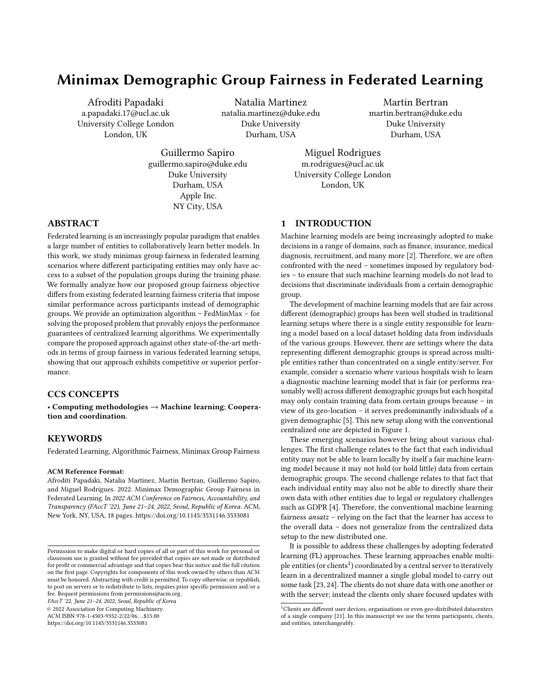Minimax Demographic Group Fairness in Federated Learning FACCT (22, June 21-24, 2022, Seoul, Republic of Korea

of possible  $\mu$  vectors satisfies  $P_{\mathcal{A}}$   $|\mathcal{K}|^{-1} \subseteq |\mathcal{A}|^{-1}$ , since  $P_{\mathcal{A}} =$  ${p(A = a|K = k)}_{a \in \mathcal{A}}$   $k \in \mathcal{K}} \in \mathbb{R}_+^{|\mathcal{A}| \times |\mathcal{K}|}$ , with  $a \in \mathcal{A}$  $p(A = a|K = a)$  $k$ ) = 1 8k and ∈ |<sup>K</sup>|-1.<br>Then from the equivalent

Then, from the equivalence in Equation 14 we have that

$$
h^*\colon\;{^*}\in\arg\min_{h\in\mathcal{H}}\max_{\in\;\;|\mathcal{K}|-1}\mathop{\mathbb{E}}_{\mathcal{D}}\left[\hat{h}(X;Y)\right];\qquad\qquad(15)
$$

and

$$
h^*; \mu^* \in \arg\min_{h \in \mathcal{H}} \max_{\mu \in \mathsf{P}_{\mathcal{A}}} \mathsf{E}_{|\mathcal{K}|-1} \mathsf{E}_{\mathcal{D}_{\mu}} \left[ \mathsf{h}(X); Y \right]; \tag{16}
$$

with  $\mu^* = P_{\mathcal{A}}$  \* have the same minimax risk, that is

$$
\underset{\mathcal{D}_{\mu^*}}{\mathbb{E}}\left[ \left( h^*(X); Y \right) \right] = \underset{\mathcal{D}_{*}}{\mathbb{E}}\left[ \left( h^*(X); Y \right) \right] \tag{17}
$$

In particular, if the space  $\mathsf{P}_\mathcal{A}^{-|\mathcal{K}|-1}$  contains any group minimax fair weights, meaning that the set =  $\mu' \in P_{\mathcal{A}}^{-1}$   $|\hat{\mathcal{K}}|^{-1}$ :  $\mu' \in$ arg min  $h ∈ H$ max  $\max_{\mu \in [\mathcal{A}]^{-1}} \mathop{\mathcal{D}}_{\mu}$ elution to I  $E[\hat{p}(h(X);Y)]$  is not empty, then it follows that any  $\pmb{\mu}^*$  (solution to Equation 16) is already minimax fair with respect to the groups  $\mu^* \in \square$ , and the client-level minimax solution is also a minimax solution across sensitive groups.

LEMMA 2. Consider our federated learning setting (Figure 1, right) where each entity k has access to a local dataset  $S_k = \int_{a \in \mathcal{A}} S_{a;k}$ , and a∈A<br>a centralized machine learning setting (Figure 1, left) where there is a single entity that has access to a single dataset  $S = \bigcup_{k \in \mathcal{K}} S_k = \bigcup_{k \in \mathcal{K}} S_k$  $\mathcal{S}_{a:k}$  (i.e., this single entity in the centralized setting has Ð Ð k∈Ka∈A<br>access to the data of the various clients in the distributed setting). Then, Algorithm 1 (federated) and Algorithm 2 (non-federated, in supplementary material, Appendix B) lead to the same global model provided that learning rates and model initialization are identical.

PROOF. We will show that FedMinMax, in Algorithm 1 is equivalent to the centralized algorithm, in Algorithm 2 under the following conditions:

(1) the dataset on client k, in FedMinMax is  $S_k = \sum_{\boldsymbol{\alpha} \in \mathcal{A}} S_{\alpha,k}$ and the dataset in centralized MinMax is  $S = \bigoplus_{n=1}^{\infty}$  $k \in \mathcal{K}$  $S_k =$ Ð Ð  $\mathcal{S}_{a;k}$ ; and

- k∈K<br>the : a∈A<br>aada (2) the model initialization  $\left( \frac{0}{1} \right)$ , the number of adversarial rounds
- $T$ , learning rate for the adversary  $\mu$ , and learning rate for the learner are identical for both algorithms the learner , are identical for both algorithms.

This can then be immediately done by showing that steps lines 3-7 in Algorithm 1 are entirely equivalent to step 3 in Algorithm 2.

In particular, note that we can write

$$
f(\cdot;\mu) = \sum_{a \in \mathcal{A}} \mu_a f_a(\cdot)
$$
  
\n
$$
= \prod_{a \in \mathcal{A}} \mu_a \prod_{k \in \mathcal{K}} \frac{n_{a;k}}{n_a} f_{a;k}(\cdot)
$$
  
\n
$$
= \prod_{a \in \mathcal{A}} \mu_a \frac{n}{n_a} \frac{1}{n} \prod_{k \in \mathcal{K}} n_{a;k} f_{a;k}(\cdot)
$$
  
\n
$$
= \prod_{a \in \mathcal{A}} \mu_a \frac{1}{n} \prod_{k \in \mathcal{K}} \frac{n_{a;k}}{n_k} n_k f_{a;k}(\cdot)
$$
  
\n
$$
= \prod_{k \in \mathcal{K}} \frac{n_k}{n} \prod_{a \in \mathcal{A}} \mu_a \frac{n_{a;k}}{n_k} f_{a;k}(\cdot)
$$
  
\n
$$
= \prod_{k \in \mathcal{K}} \frac{n_k}{n} f_k(\cdot;\mu);
$$

where

$$
\hat{r}_k(\cdot; w) = \frac{n_{a;k}}{n_k} w_a \hat{r}_{a;k}(\cdot); \tag{19}
$$

with  $W_a = \frac{\mu_a}{\frac{n_a}{n}}$ , and  $\hat{r}_a$ ( ) =  $k \in \mathcal{K}$  $\frac{n_{a;k}}{n_{a}}$  $\frac{\partial a_{i,k}}{\partial a_{i}} f_{a_{i},k}$  ( ). Therefore, the model update

$$
t = \frac{\mathbf{O}}{k \epsilon \mathcal{K}} \frac{n_k}{n} \frac{t}{k} = \frac{\mathbf{O}}{k \epsilon \mathcal{K}} \frac{n_k}{n} \frac{t-1}{n} - \nabla f_k(\mathbf{f}^{-1}; \mathbf{w}^{t-1}) \tag{20}
$$

associated with step in 7 at round  $t$  of Algorithm 1, is entirely equivalent to the model undate equivalent to the model update

$$
t = t-1 - \nabla \hat{r} \left( t-1, w^{t-1} \right) \tag{21}
$$

associated with step in line 3 at round t of Algorithm 2, provided<br>that  $t^{-1}$  is the same for both algorithms that  $t^{-1}$  is the same for both algorithms.

It follows therefore by induction that, provided the initialization  $^0$  and learning rate are identical in both cases the algorithms lead to the same model. Also, from Eq. 19, we have that the projected gradient ascent step in line 4 of Algorithm 2 is equivalent to the step in line 10 of Algorithm 1.

Assumption A.1 ( -approximate Bayesian Oracle). We assume that the server approximates the hypothesis h, parametrized by , for any group weights  $\mu$  using -approximate Bayesian solver

$$
M(\mu) \simeq \arg\min_{h \in \mathcal{H}} R(h; \mu); \tag{22}
$$

where 
$$
R(h; \mu) = \underset{a \in \mathcal{A}}{\prod} \mu_a f_a(h)
$$
.

Assumption A.2 (Lipschitzness Condition). We also assume that  $R(h; \mu) =$  $\mu_a f_a(h)$  is a 1-Lipschitz function w.r.t.  $\mu$ .

LEMMA A.1 (ADJUSTED FROM THEOREM 7 IN [1]). Let assumptions A.1, A.2 hold. Let also  $D$  be a uniform distribution over a set of hypotheses  $\{h^1\}$  $\langle \cdots ;h^{\mathsf{T}} \rangle$  and =  $\max_{\mathsf{U} \in \ \frac{|\mathcal{A}|}{|A|}}$  $\mu \in \frac{|\mathcal{A}| - 1}{\geq}$  $\frac{||\mu||_2}{\sqrt{2\pi}}$  $\frac{2\prod_{l=1}^{n} z_l}{2\overline{z_l}}$ . Then, given the equivalence in Lemma 2, Algorithms 1 and 2 output a distribution D, such that

$$
\max_{\mu \in \Sigma} \mathsf{E}_{h \sim \mathcal{D}}[R(h; \mu)] \leq r^* + \max_{\mu \in \Sigma^{|\mathcal{A}|-1}} ||\mu||_2 \frac{2}{7}
$$
  
where  $r^* = \min_{h \in \mathcal{H}} \max_{\mu \in \Sigma^{|\mathcal{A}|-1}} R(h; \mu)$ .

 $^{7}{\rm In}$  the federated Algorithm 1, we also refer to the adversarial rounds as communication rounds.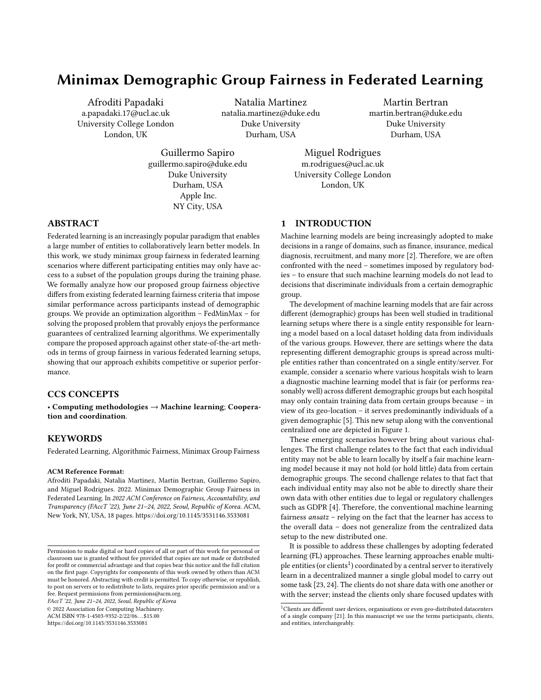$\mathsf{r}$ 

PROOF. We define the risk induced by the adversary picking  $\mu \in$ | $\mathcal{A}$ |-1 and the modeller picking  $h \in \mathcal{H}$  in round  $t \in [T]$ ,<br>∴ $u^t$ ) where  $h^t = M(u^t)$  and  $M(t)$  being a connectimate as  $R(h^{\mathcal{F}}; \mu^t)$ , where  $h^t = M(\mu^t)$  and  $M(\cdot)$  being a -approximate Bayesian solver.

The regret guarantees of the projected gradient ascent algorithm gives that:

$$
\frac{1}{T}\sum_{t\in[T]}^{\bullet}R(h^{t};\mu^{t})\geq\max_{\mu\in\;\;\sum\limits_{\geq}^{|\mathcal{R}|-1}}\frac{1}{T}\sum_{t\in[T]}^{\bullet}R(h^{t};\mu)-\max_{\mu\in\;\;\sum\limits_{\geq}^{|\mathcal{R}|-1}}||\mu||_{2}\sum_{\overline{T}}^{\bullet}
$$

Furthermore, from the distributional oracle guarantee we have that:

\* = 
$$
\min_{h \in \mathcal{H}} \max_{\mu \in \mathcal{L}} R(h; \mu)
$$
  
\n $\geq \min_{h \in \mathcal{H}} \frac{1}{t} \prod_{t \in [T]} R(h; \mu^t)$   
\n $\geq \frac{1}{T} \prod_{t \in [T]} \min_{h \in \mathcal{H}} R(h; \mu^t)$   
\n $\geq \frac{1}{T} \prod_{t \in [T]} \frac{1}{h} R(h^t; \mu^t)$   
\n $\geq \frac{1}{T} \max_{\mu \in \mathcal{L}} \frac{1}{t} \prod_{t \in [T]} R(h^t; \mu) - \max_{\mu \in \mathcal{L}} ||\mu||_2 \frac{1}{T}$ 

Thus, we have shown that for a uniform distribution over a set of hypotheses  $D$ , the following inequality holds

$$
\max_{\mu \in \sum_{\geq}^{|\mathcal{R}|-1}} \mathsf{E}_{h \sim \mathcal{D}}[R(h; \mu)] \leq r^* + \max_{\mu \in \sum_{\geq}^{|\mathcal{R}|-1}} ||\mu||_2 \frac{2}{\overline{f}}
$$

# B APPENDIX: CENTRALIZED MINIMAX ALGORITHM

We provide the centralized version of FedMinMax in Algorithm 2.

Algorithm 2 Centralized MinMax Baseline **Input:**  $\overline{I}$  : total number of adversarial rounds, : model learning rate,  $\mu$ : adversary learning rate,  $S_{\alpha}$ : set of examples for group  $\alpha$ ,  $8a \in \mathcal{A}$ . 1: Server **initializes**  $\boldsymbol{\mu}^0$  ← { $|\mathcal{S}_\alpha|/|\mathcal{S}|\}$ } $\alpha \in \mathcal{A}$  and  $\alpha$ <sup>0</sup> randomly. 2: **for**  $t = 1$  to  $\overline{t}$  do<br>3: Server **computes**  $\overline{t} \leftarrow t^{-1} - \nabla \hat{r}(\overline{t}^{-1}; \mu^{t-1})$ <br>4: Server **undates** 4: Server updates  $\mu^t \leftarrow$ Î  $\mu^{t-1}$  +  $\mu \nabla \mu \langle \mu^{t-1} ; f_a(\lambda^{t-1}) \rangle$ 5: end for Outputs:  $\frac{1}{T} \prod_{t=1}^{T} t$ i<br>T

# C APPENDIX: EXPERIMENTAL DETAILS

Experimental Setting and Model Architectures. For AFL and FedMinMax the batch size is equal to the number of examples per client while for TERM, FedAvg and q-FedAvg is equal to 100. For the synthetic dataset, we use an MLP architecture consisting of four hidden layers of size 512. In the experiments for Adult we use a single layer MLP with 512 neurons. For FashionMNIST we use a CNN architecture with two 2D convolutional layers with kernel size 3, stride 1, and padding 1. Each convolutional layer is followed with a maxpooling layer with kernel size 2, stride 2, dilation 1, and padding 0. For CIFAR-10 we use a ResNet-18 architecture without batch normalization. Finally for ACS Employment dataset we use a single layer MLP with 512 neurons for the experiments where the sensitive label is the combination of race and employment, and Logistic Regression for the experiments with the original 9 races. For training we use either cross entropy or Brier score loss function. We perform a grid search over the following hyperparameters: tilt $t = \{0:01; 0:1; 0:5; 0:8; 1:0\}$ ,  $q = \{0:2; 0:5; 1:0; 2:0; 5:0\}$ , local epochs<br>  $E = \{3; 10; 15\}$  and  $q = \mu = \{0:001; 0:005; 0:01; 0:05; 0:1\}$  $E = \{3; 10; 15\}$  and  $\qquad = \mu = \{0:001; 0:005; 0:01; 0:05; 0:1\}$ <br>(where appropriate). We report a summary of the experimental setup in Table 2. During the training process we tune the hyperparameters based on the validation set for each approach. The mean and standard deviation reported on the results are calculated over three runs. We use 3-fold cross validation to split the data into training and validation for each run.

Software & Hardware. The proposed algorithms and experiments are written in Python, leveraging PyTorch [39]. The experiments were realised using 1 × NVIDIA Tesla V100 GPU.

# D APPENDIX: ADDITIONAL RESULTS

## D.1 Experiments on Synthetic dataset.

Recall that we consider two sensitive groups (i.e.,  $|\mathcal{A}| = 2$ ) in the synthetic dataset. In the Equal access to Sensitive Groups (ESG) setting, we distribute the two groups on 40 clients, while for the Single access to Sensitive Groups (SSG) case, every client has access to a single group, each group is distributed to 20 clients, and the amount of samples on each local dataset varies across clients. There is no Partial access to Sensitive Groups (PSG) setting for binary sensitive group scenarios since it is equivalent to SSG. A comparison of the testing group risks is provided in Table 4 and the weighting coefficients for the groups are given by Table 3.

## D.2 Experiments on Adult dataset.

In the Equal access to Sensitive Groups (ESG) setting, we distribute the 4 groups equally on 40 clients. In the Partial access to Sensitive Groups (PSG) setting, 20 clients have access to Males subgroups, and the other 20 to subgroups relating to Females. In the Single access to Sensitive Groups (SSG) setting, every client has access to a single group and each group is distributed to 10 clients. We show the testing group risks in Table 6 and the group weights in Table 5.

#### D.3 Experiments on FashionMNIST dataset.

For the Equal access to Sensitive Groups (ESG) setting, each client in the federation has access to the same amount of the 10 classes. In the Partial access to Sensitive Groups (PSG) setting, 20 of the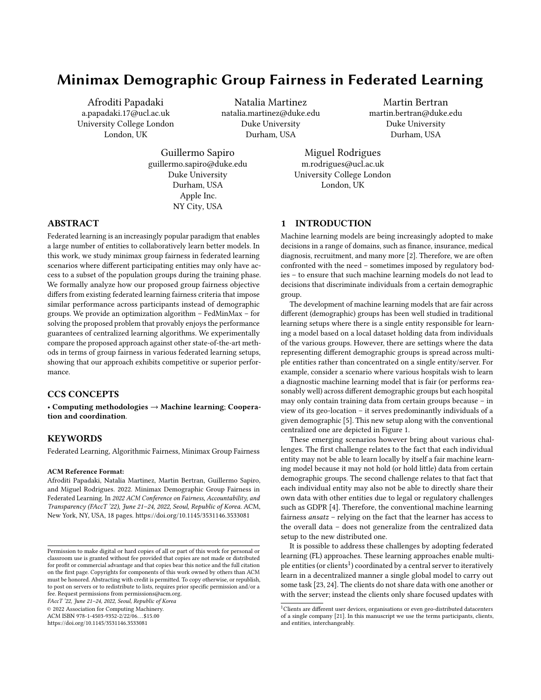Minimax Demographic Group Fairness in Federated Learning FACCT (22, June 21-24, 2022, Seoul, Republic of Korea

Table 2: Summary of parameters used in the training process for all experiments. Epochs refer to the local iterations performed at each client,  $n_k$  is the number of local data examples in client  $k$ ,  $\;$  is the model's learning rate and  $\; \mu$  or  $\;$  is the adversary learning rates learning rates.

| Dataset               | Setting       | Method                   |      | <b>Batch Size</b> | Loss               | <b>Hypothesis Type</b> | Epochs                   | $\mathbf{u}$ or          |
|-----------------------|---------------|--------------------------|------|-------------------|--------------------|------------------------|--------------------------|--------------------------|
| Synthetic             | ESG, SSG      | <b>AFL</b>               | 0.1  | $n_k$             | <b>Brier Score</b> | $MLP$ (4x512)          |                          | 0.1                      |
|                       |               | FedAvg                   | 0.1  | 100               | <b>Brier Score</b> | $MLP$ (4x512)          | 15                       |                          |
|                       |               | $q$ -FedAvg              | 0.1  | 100               | <b>Brier Score</b> | MLP (4x512)            | 15                       | ٠                        |
|                       |               | FedMinMax (ours)         | 0.1  | $n_k$             | <b>Brier Score</b> | $MLP$ (4x512)          |                          | 0.1                      |
|                       |               | <b>Centalized Minmax</b> | 0.1  | $\eta$            | <b>Brier Score</b> | MLP (4x512)            | $\overline{\phantom{a}}$ | 0.1                      |
| Adult                 | ESG, SSG, PSG | AFL                      | 0.01 | $n_k$             | Cross Entropy      | MLP (512)              | $\sim$                   | 0.01                     |
|                       |               | FedAvg                   | 0.01 | 100               | Cross Entropy      | MLP (512)              | 15                       |                          |
|                       |               | $q$ -FedAvg              | 0.01 | 100               | Cross Entropy      | MLP (512)              | 15                       | ٠                        |
|                       |               | FedMinMax (ours)         | 0.01 | $n_k$             | Cross Entropy      | MLP (512)              | ÷,                       | 0.01                     |
|                       |               | Centalized Minmax        | 0.01 | $\eta$            | Cross Entropy      | MLP (512)              | $\overline{\phantom{a}}$ | 0.01                     |
| FashionMNIST          | ESG, SSG, PSG | <b>AFL</b>               | 0.1  | $n_k$             | <b>Brier Score</b> | <b>CNN</b>             | $\sim$                   | 0.1                      |
|                       |               | FedAvg                   | 0.1  | 100               | <b>Brier Score</b> | <b>CNN</b>             | 15                       |                          |
|                       |               | q-FedAvg                 | 0.1  | 100               | <b>Brier Score</b> | <b>CNN</b>             | 15                       |                          |
|                       |               | FedMinMax (ours)         | 0.1  | $n_k$             | <b>Brier Score</b> | <b>CNN</b>             | $\overline{\phantom{a}}$ | 0.1                      |
|                       |               | <b>Centalized Minmax</b> | 0.1  | $\sqrt{n}$        | <b>Brier Score</b> | <b>CNN</b>             | $\overline{\phantom{a}}$ | 0.1                      |
| CIFAR-10              | ESG, SSG, PSG | AFL                      | 0.1  | $n_k$             | <b>Brier Score</b> | ResNet-18 w/o BN       | $\overline{\phantom{a}}$ | 0.01                     |
|                       |               | FedAvg                   | 0.1  | 100               | <b>Brier Score</b> | ResNet-18 w/o BN       | 3                        | $\overline{\phantom{a}}$ |
|                       |               | $q$ -FedAvg              | 0.1  | 100               | <b>Brier Score</b> | ResNet-18 w/o BN       | 3                        |                          |
|                       |               | FedMinMax (ours)         | 0.1  | $n_k$             | <b>Brier Score</b> | ResNet-18 w/o BN       | $\overline{\phantom{a}}$ | 0.01                     |
|                       |               | <b>Centalized Minmax</b> | 0.1  | $\eta$            | <b>Brier Score</b> | ResNet-18 w/o BN       | $\overline{\phantom{a}}$ | 0.01                     |
| <b>ACS</b> Employment | ESG, SSG, PSG | AFL                      | 0.01 | $n_k$             | Cross Entropy      | MLP (512)              | $\sim$                   | 0.01                     |
| (6 sensitive groups)  |               | FedAvg                   | 0.01 | 100               | Cross Entropy      | MLP (512)              | 10                       | ٠                        |
|                       |               | $q$ -Fed $Avg$           | 0.01 | 100               | Cross Entropy      | MLP (512)              | 10                       | $\overline{\phantom{a}}$ |
|                       |               | FedMinMax (ours)         | 0.01 | $n_k$             | Cross Entropy      | MLP (512)              | $\overline{\phantom{m}}$ | 0.01                     |
|                       |               | <b>Centalized Minmax</b> | 0.01 | $\eta$            | Cross Entropy      | MLP (512)              | $\rightarrow$            | 0.01                     |
| <b>ACS</b> Employment | ESG, SSG, PSG | AFL                      | 0.01 | $n_k$             | Cross Entropy      | Logistic Regression    | $\sim$                   | 0.01                     |
| (9 sensitive groups)  |               | FedAvg                   | 0.01 | 100               | Cross Entropy      | Logistic Regression    | 10                       | $\sim$                   |
|                       |               | $q$ -FedAvg              | 0.01 | 100               | Cross Entropy      | Logistic Regression    | 10                       | $\overline{\phantom{a}}$ |
|                       |               | FedMinMax (ours)         | 0.01 | $n_k$             | Cross Entropy      | Logistic Regression    | ÷,                       | 0.01                     |
|                       |               | <b>Centalized Minmax</b> | 0.01 | $\eta$            | Cross Entropy      | Logistic Regression    | ÷,                       | 0.01                     |

Table 3: Final group weighting coefficients for AFL and Fed-Minmax across different federated learning scenarios on the synthetic dataset for binary classification involving two sensitive groups.

| Setting | Method                     | <b>Worst Group</b> | <b>Best Group</b> |
|---------|----------------------------|--------------------|-------------------|
| ESG     | AFL.                       | 0.528              | 0.472             |
|         | FedMinMax (ours)           | 0.999              | 0.001             |
| SSG     | AFL.                       | 0.999              | 0.001             |
|         | FedMinMax (ours)           | 0.999              | 0.001             |
|         | Centalized Minmax Baseline | 0.999              | 0.001             |

participants have access only to groups T-shirt, Trouser, Pullover, Dress and Coat. The remaining 20 clients own data from groups Sandal, Shirt, Sneaker, Bag and Ankle Boot. Finally, in the Single access to Sensitive Groups (SSG) setting, every group is owned by 4 clients only and all clients have access to just one group membership. The group risks are provided in Table 8. We also show the weighting coefficients for each sensitive group in Table 7.

Table 4: Testing Brier score risks for FedAvg, AFL, q-FedAvg, TERM, and FedMinmax across different federated learning scenarios on the synthetic dataset for binary classification involving two sensitive groups. PSG scenario is not included because for  $|\mathcal{A}| = 2$  it is equivalent to SSG.

| <b>Setting</b>   | Method                     | Worst Group       | <b>Best Group</b> |
|------------------|----------------------------|-------------------|-------------------|
| ESG              | AFL.                       | $0.485 \pm 0.0$   | $0.216 \pm 0.001$ |
|                  | FedAvg                     | $0.487 + 0.0$     | $0.214 + 0.002$   |
|                  | $q$ -FedAvg $(q=0.2)$      | $0.479 \pm 0.002$ | $0.22 \pm 0.002$  |
|                  | $q$ -FedAvg $(q=5.0)$      | $0.478 \pm 0.002$ | $0.223 \pm 0.004$ |
|                  | TERM $(t=1.0)$             | $0.469 + 0.0$     | $0.261 + 0.001$   |
|                  | FedMinMax (ours)           | $0.451 + 0.0$     | $0.31 \pm 0.001$  |
| SSG              | AFL.                       | $0.451 \pm 0.0$   | $0.31 + 0.001$    |
|                  | FedAvg                     | $0.483 + 0.002$   | $0.219 + 0.001$   |
|                  | $q$ -FedAvg $(q=0.2)$      | $0.476 + 0.001$   | $0.221 + 0.002$   |
|                  | $q$ -FedAvg $(q=5.0)$      | $0.468 + 0.005$   | $0.274 + 0.004$   |
|                  | TERM $(t=1.0)$             | $0.461 + 0.004$   | $0.272 \pm 0.001$ |
| FedMinMax (ours) |                            | $0.451 \pm 0.0$   | $0.309 \pm 0.003$ |
|                  | Centalized Minmax Baseline | $0.451 + 0.0$     | $0.308 + 0.001$   |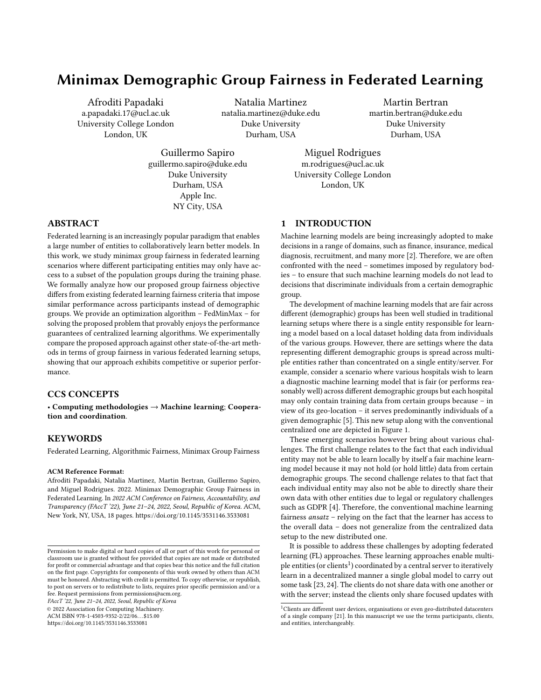Table 5: Final group weighting coefficients for AFL and Fed-Minmax across different federated learning scenarios on the Adult dataset. We round the weights values to the last three decimal places.

| <b>Setting</b> | Method                     | Males.<br>$\leq$ 50K | Males.<br>> 50K | Females,<br>$\leq$ 50K | <b>Females.</b><br>> 50K |
|----------------|----------------------------|----------------------|-----------------|------------------------|--------------------------|
| ESG            | AFL                        | 0.475                | 0.214           | 0.284                  | 0.028                    |
|                | FedMinMax (ours)           | 0.697                | 0.301           | 0.001                  | 0.001                    |
| SSG            | AFL                        | 0.705                | 0.293           | 0.003                  | 0.001                    |
|                | FedMinMax (ours)           | 0.697                | 0.301           | 0.001                  | 0.001                    |
| <b>PSG</b>     | AFL                        | 0.500                | 0.229           | 0.244                  | 0.027                    |
|                | FedMinMax (ours)           | 0.705                | 0.293           | 0.001                  | 0.001                    |
|                | Centalized Minmax Baseline | 0.697                | 0.301           | 0.001                  | 0.001                    |

## D.4 Experiments on CIFAR-10 dataset.

In the Equal access to Sensitive Groups (ESG) setting, the 10 classes are equally distributed across the clients, creating a scenario where each client has access to the same amount of data examples and groups. In the Partial access to Sensitive Groups (PSG) setting, 20 clients own data from groups Airplane, Automobile, Bird, Cat and Deer and the rest hold data from Dog, Frog, Horse, Ship and Truck groups. Finally, in the Single access to Sensitive Groups (SSG) setting, every client owns only one sensitive group and each group is distributed to only 4 clients. We report the risks on the test set in Table 9 and the final group weighting coefficients in Table 10.

# D.5 Experiments on ACS Employment dataset (employment and race combination).

In the Equal access to Sensitive Groups (ESG) setting, we split the 6 groups across the clients equally. In the Partial access to Sensitive Groups (PSG) setting, 20 clients own data from groups Unemployed White, Employed Black, Employed White, and the remaining own data from Unemployed Other, Unemployed Black, and Employed Other. Finally, in the Single access to Sensitive Groups (SSG) setting, every client has access to only one sensitive class. In particular, data for Employed White is owned by 10 clients and each of the remaining 5 groups is allocated to six clients. We report the risks on the test set in Table 11 and the group weighting coefficients produced from the training process are in Table 12.

# D.6 Experiments on ACS Employment dataset (race).

We also use the original 9 races of the ACS Employment dataset to run experiments on the three federated learning settings. We refer to the available race groups using the following label tags: { White: White alone, Black /African American: Black or African American alone, American Indian: American Indian alone, Alaska Native: Alaska Native alone, A.I. &/or A.N. Tribes: American Indian and Alaska Native tribes specified, or American Indian or Alaska Native, not specified and no other races, Asian: Asian alone, N. Hawaiian & other P.I.: Native Hawaiian and Other Pacific Islander alone, Other: Some Other Race alone, Multiple: Two or More Races}. In the Equal access to Sensitive Groups (ESG) setting, we split the 9 groups across the clients. In the Partial access to Sensitive Groups (PSG) setting, 20 clients own data from groups White, Black /African

American, American Indian, Alaska Native, A.I. &/or A.N. Tribes and the remaining clients hold data from Asian, N. Hawaiian & other P.I., Other, and Multiple. Finally, in the Single access to Sensitive Groups (SSG) setting, every client owns only one sensitive group and each group is distributed to only 4 clients, except White race that is distributed to 8 clients. We report the risks on the test set in Table 13.

# E APPENDIX: COMPLEMENTARY ALGORITHMS

In the main text we refer to slightly different optimization objective and an algorithm that we use to compare the generalization efficiency of considering global demographics on some scenarios.

We extend our FedMinMax algorithm to solve the objective in Eq. 10. The adjusted algorithm is called LocalFedMinMax for which we share the pseudocode in Algorithm 3 and the full table of risks for FashionMNIST and CIFAR-10 in Tables 14 and 15, respectively. LocalFedMinMax and FedMinMax behave similarly on the worst group on SSG regardless for different number of clients, while LocalFedMinMax has higher worst group risks for the remaining settings compared to FedMinMax.

## Algorithm 3 Local Federated MiniMax (LocalFedMinMax)

**Input:**  $K$ : Set of clients,  $T$  : total number of communication rounds, : model learning rate,  $\mu$ : global adversary learning rate,<br>Square for grounds for groun 3 in client  $k = 8.3 \times 10^{-4}$  Set  $\sigma$  med Set  $\sigma$  med Set  $S_{\alpha,k}$ : set of examples for group a in client k,  $8a \in \mathcal{A}$  and  $8k \in \mathcal{K}$ .

- 1: Server initializes  $\mu^0 \leftarrow$  = {{ $|S_{a;k}|/|S|\}$  $a \in \mathcal{A}$ } $k \in \mathcal{K}$  and  $0$ <br>randomly randomly.
- 2: for  $t = 1$  to  $\overline{T}$  do<br>3: Server computer
- 3: Server **computes**  $w^{t-1} \leftarrow \mu^{t-1}/$ <br>4: Server **broadcasts**  $t^{-1}$ ,  $w^{t-1}$
- 
- 5: **for** each client  $k \in \mathcal{K}$  in parallel do<br>  $\begin{array}{ll} \n\hline\n6: & \text{if } t-1 \nabla f_k(\frac{t-1}{y}) \text{if } t-1 \\
\hline\n\end{array}$
- 7: Client-k **obtains** and **sends**  $\{f_{a;k}(\begin{bmatrix} t-1 \end{bmatrix}\}_{{a \in \mathcal{A}}}$  and  $\begin{bmatrix} t \end{bmatrix}$  to server

T

- 8: end for 9: Server computes:  $\mathbf{t} \leftarrow$  $\frac{n_k}{n}$  t
- $k \in \mathcal{K}$ 10: Server updates:  $\mu^t \leftarrow$ Î  $|\kappa_{\lvert *|\mathcal{A}\rvert-1}$   $\mu^{t-1}$  +  $\mu \nabla \mu \langle \mu^{t-1}, \hat{r}_{a;k}(\lambda^{t-1}) \rangle$ 11: end for Outputs:  $\frac{1}{\tau} \prod_{t=1}^{\tau} \frac{t}{t}$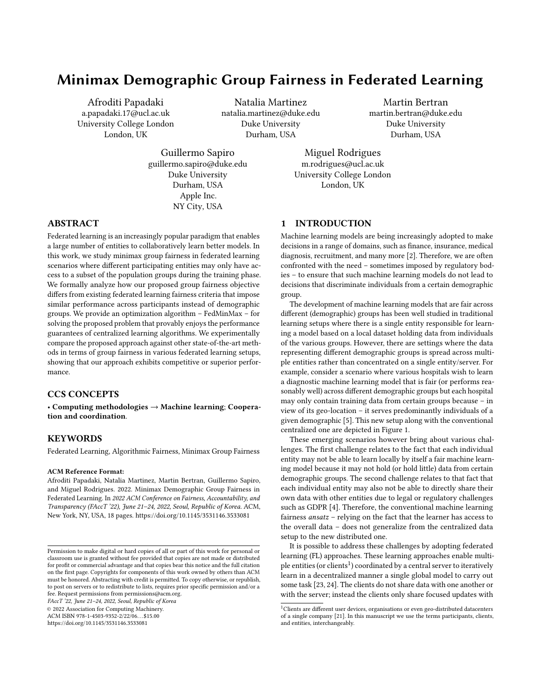Table 6: Cross entropy risks for FedAvg, AFL, q-FedAvg, TERM, and FedMinmax across different federated learning settings on adult dataset.

| <b>Setting</b>             | Method           | Males, $\le$ = 50K |                   | Males, $> 50K$ Females, $\leq 50K$ | Females, $> 50K$  |
|----------------------------|------------------|--------------------|-------------------|------------------------------------|-------------------|
| <b>ESG</b>                 | AFL              | $0.263 \pm 0.002$  | $0.701 \pm 0.003$ | $0.086 \pm 0.002$                  | $1.096 \pm 0.008$ |
|                            | FedAvg           | $0.255 \pm 0.002$  | $0.697 \pm 0.004$ | $0.081 \pm 0.001$                  | $1.121 \pm 0.009$ |
|                            | q-FedAvg         | $0.263 \pm 0.003$  | $0.697 \pm 0.004$ | $0.084 \pm 0.001$                  | $1.1 \pm 0.006$   |
|                            | TERM             | $0.381 \pm 0.101$  | $0.607 \pm 0.04$  | $0.224 \pm 0.06$                   | $0.725 \pm 0.021$ |
|                            | FedMinMax (ours) | $0.414 \pm 0.003$  | $0.453 \pm 0.003$ | $0.415 \pm 0.008$                  | $0.347 \pm 0.007$ |
| <b>SSG</b>                 | AFL              | $0.418 + 0.006$    | $0.452 \pm 0.009$ | $0.416 + 0.002$                    | $0.349 \pm 0.007$ |
|                            | FedAvg           | $0.263 \pm 0.001$  | $0.704 \pm 0.002$ | $0.07 \pm 0.0$                     | $1.23 \pm 0.002$  |
|                            | q-FedAvg         | $0.261 \pm 0.001$  | $0.683 \pm 0.002$ | $0.082 \pm 0.001$                  | $1.117 \pm 0.01$  |
|                            | TERM             | $0.358 \pm 0.016$  | $0.579 \pm 0.002$ | $0.286 \pm 0.031$                  | $0.693 \pm 0.071$ |
|                            | FedMinMax (ours) | $0.413 \pm 0.002$  | $0.453 \pm 0.005$ | $0.414 \pm 0.006$                  | $0.348 + 0.01$    |
| <b>PSG</b>                 | AFI.             | $0.274 \pm 0.003$  | $0.757 \pm 0.009$ | $0.094 \pm 0.002$                  | $1.285 \pm 0.022$ |
|                            | FedAvg           | $0.263 \pm 0.001$  | $0.7 \pm 0.001$   | $0.069 \pm 0.001$                  | $1.226 \pm 0.007$ |
|                            | q-FedAvg         | $0.263 \pm 0.004$  | $0.752 \pm 0.014$ | $0.09 \pm 0.004$                   | $1.239 \pm 0.032$ |
| TERM                       |                  | $0.485 \pm 0.195$  | $0.581 \pm 0.108$ | $0.367 \pm 0.316$                  | $0.69 \pm 0.003$  |
| FedMinMax (ours)           |                  | $0.411 \pm 0.002$  | $0.452 \pm 0.006$ | $0.417 \pm 0.001$                  | $0.346 \pm 0.008$ |
| Centalized Minmax Baseline |                  | $0.412 \pm 0.004$  | $0.453 \pm 0.005$ | $0.416 \pm 0.012$                  | $0.347 \pm 0.004$ |

Table 7: Final group weighting coefficients for AFL, Centalized Minmax Baseline, and FedMinmax across different federated learning scenarios on the FashionMNIST dataset. Note that the weighting coefficients are rounded to the last three decimal places. We highlight the weighting coefficient for the worst group.

| <b>Setting</b> | Method                     | T-shirt | <b>Trouser</b> | Pullover | <b>Dress</b> | Coat  | Sandal | Shirt | <b>Sneaker</b> | Bag   | Ankle boot |
|----------------|----------------------------|---------|----------------|----------|--------------|-------|--------|-------|----------------|-------|------------|
| <b>ESG</b>     | AFL                        | 0.099   | 0.100          | 0.101    | 0.101        | 0.100 | 0.100  | 0.099 | 0.100          | 0.100 | 0.100      |
|                | FedMinMax (ours)           | 0.217   | 0.001          | 0.241    | 0.007        | 0.151 | 0.001  | 0.380 | 0.001          | 0.001 | 0.001      |
| SSG            | AFL                        | 0.217   | 0.001          | 0.241    | 0.007        | 0.151 | 0.001  | 0.379 | 0.001          | 0.001 | 0.001      |
|                | FedMinMax (ours)           | 0.216   | 0.001          | 0.237    | 0.017        | 0.155 | 0.001  | 0.370 | 0.001          | 0.001 | 0.001      |
| <b>PSG</b>     | AFL                        | 0.128   | 0.064          | 0.138    | 0.099        | 0.129 | 0.063  | 0.173 | 0.069          | 0.066 | 0.071      |
|                | FedMinMax (ours)           | 0.216   | 0.001          | 0.238    | 0.014        | 0.154 | 0.001  | 0.372 | 0.001          | 0.001 | 0.001      |
|                | Centalized Minmax Baseline | 0.217   | 0.001          | 0.240    | 0.010        | 0.152 | 0.001  | 0.377 | 0.001          | 0.001 | 0.001      |

Table 8: Brier score risks for FedAvg, AFL, q-FedAvg, TERM, and FedMinmax across different federated learning settings on FashionMNIST dataset.

| Setting    | Method                     | <b>T-shirt</b>    | Trouser           | Pullover          | <b>Dress</b>      | Coat              | Sandal            | Shirt             | Sneaker           | Bag               | Ankle boot        |
|------------|----------------------------|-------------------|-------------------|-------------------|-------------------|-------------------|-------------------|-------------------|-------------------|-------------------|-------------------|
| <b>ESG</b> | AFL                        | $0.239 \pm 0.003$ | $0.046 \pm 0.0$   | $0.262 \pm 0.001$ | $0.159 \pm 0.001$ | $0.252 \pm 0.004$ | $0.06 \pm 0.0$    | $0.494 \pm 0.004$ | $0.067 + 0.001$   | $0.049 \pm 0.0$   | $0.07 \pm 0.001$  |
|            | FedAvg                     | $0.243 \pm 0.003$ | $0.046 \pm 0.0$   | $0.262 \pm 0.001$ | $0.158 + 0.003$   | $0.253 \pm 0.002$ | $0.061 \pm 0.0$   | $0.492 \pm 0.003$ | $0.068 \pm 0.0$   | $0.049 \pm 0.0$   | $0.069 \pm 0.0$   |
|            | q-FedAvg                   | $0.268 \pm 0.051$ | $0.047 + 0.005$   | $0.312 \pm 0.016$ | $0.164 \pm 0.029$ | $0.306 \pm 0.052$ | $0.039 + 0.003$   | $0.477 \pm 0.006$ | $0.074 \pm 0.001$ | $0.036 \pm 0.005$ | $0.056 \pm 0.008$ |
|            | <b>TERM</b>                | $0.256 \pm 0.066$ | $0.048 + 0.008$   | $0.31 \pm 0.083$  | $0.175 \pm 0.022$ | $0.294 \pm 0.016$ | $0.041 \pm 0.012$ | $0.467 \pm 0.002$ | $0.066 \pm 0.019$ | $0.038 \pm 0.011$ | $0.062 \pm 0.018$ |
|            | FedMinMax (ours)           | $0.261 \pm 0.006$ | $0.191 \pm 0.016$ | $0.256 \pm 0.027$ | $0.217 \pm 0.013$ | $0.223 \pm 0.031$ | $0.207 + 0.027$   | $0.307 + 0.01$    | $0.172 \pm 0.016$ | $0.193 \pm 0.021$ | $0.156 \pm 0.011$ |
| SSG        | AFL                        | $0.267 + 0.009$   | $0.194 \pm 0.023$ | $0.236 \pm 0.013$ | $0.226 \pm 0.012$ | $0.262 \pm 0.012$ | $0.201 + 0.026$   | $0.307 \pm 0.003$ | $0.178 + 0.033$   | $0.205 \pm 0.025$ | $0.162 \pm 0.021$ |
|            | FedAvg                     | $0.227 \pm 0.003$ | $0.039 + 0.001$   | $0.236 \pm 0.004$ | $0.143 \pm 0.003$ | $0.232 + 0.003$   | $0.051 + 0.001$   | $0.463 + 0.003$   | $0.067 \pm 0.0$   | $0.041 \pm 0.0$   | $0.063 \pm 0.001$ |
|            | q-FedAvg                   | $0.24 \pm 0.001$  | $0.041 \pm 0.008$ | $0.246 \pm 0.026$ | $0.142 \pm 0.014$ | $0.257 + 0.028$   | $0.036 \pm 0.001$ | $0.425 \pm 0.002$ | $0.059 \pm 0.014$ | $0.027 \pm 0.002$ | $0.042 \pm 0.007$ |
|            | <b>TERM</b>                | $0.251 \pm 0.011$ | $0.034 \pm 0.003$ | $0.26 \pm 0.017$  | $0.144 \pm 0.005$ | $0.242 \pm 0.034$ | $0.04 \pm 0.004$  | $0.399 \pm 0.017$ | $0.05 \pm 0.003$  | $0.026 \pm 0.001$ | $0.044 \pm 0.001$ |
|            | FedMinMax (ours)           | $0.269 \pm 0.012$ | $0.2 \pm 0.026$   | $0.238 \pm 0.017$ | $0.231 \pm 0.013$ | $0.252 \pm 0.034$ | $0.2 \pm 0.024$   | $0.309 \pm 0.011$ | $0.177 \pm 0.03$  | $0.205 \pm 0.032$ | $0.169 \pm 0.013$ |
| <b>PSG</b> | AFL                        | $0.244 \pm 0.007$ | $0.032 \pm 0.001$ | $0.257 \pm 0.066$ | $0.122 \pm 0.006$ | $0.209 + 0.098$   | $0.045 \pm 0.002$ | $0.425 \pm 0.019$ | $0.059 + 0.001$   | $0.041 \pm 0.001$ | $0.062 \pm 0.001$ |
|            | FedAvg                     | $0.229 \pm 0.008$ | $0.039 \pm 0.0$   | $0.236 \pm 0.004$ | $0.142 \pm 0.002$ | $0.232 \pm 0.003$ | $0.052 \pm 0.001$ | $0.464 \pm 0.011$ | $0.067 \pm 0.001$ | $0.042 \pm 0.001$ | $0.063 \pm 0.001$ |
|            | q-FedAvg                   | $0.278 \pm 0.062$ | $0.04 \pm 0.013$  | $0.256 \pm 0.083$ | $0.16 \pm 0.026$  | $0.311 \pm 0.044$ | $0.045 \pm 0.013$ | $0.453 \pm 0.002$ | $0.063 \pm 0.02$  | $0.029 \pm 0.007$ | $0.047 \pm 0.004$ |
|            | <b>TERM</b>                | $0.226 \pm 0.007$ | $0.037 + 0.005$   | $0.233 \pm 0.004$ | $0.153 \pm 0.007$ | $0.255 \pm 0.016$ | $0.038 \pm 0.0$   | $0.439 \pm 0.007$ | $0.053 \pm 0.003$ | $0.026 \pm 0.001$ | $0.043 \pm 0.002$ |
|            | FedMinMax (ours)           | $0.263 \pm 0.013$ | $0.177 + 0.026$   | $0.228 \pm 0.011$ | $0.21 \pm 0.019$  | $0.238 \pm 0.025$ | $0.182 \pm 0.03$  | $0.31 \pm 0.008$  | $0.16 \pm 0.027$  | $0.184 \pm 0.031$ | $0.154 \pm 0.018$ |
|            | Centalized Minmax Baseline | $0.259 + 0.01$    | $0.173 \pm 0.015$ | $0.239 \pm 0.051$ | $0.213 \pm 0.008$ | $0.24 \pm 0.063$  | $0.182 + 0.024$   | $0.311 \pm 0.006$ | $0.168 \pm 0.018$ | $0.18 \pm 0.013$  | $0.151 \pm 0.012$ |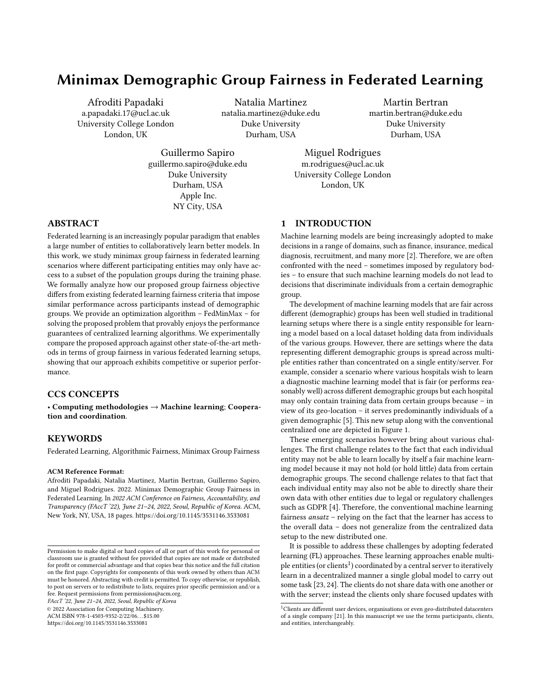Table 9: Brier score risks for FedAvg, AFL, q-FedAvg, TERM, and FedMinmax across different federated learning settings on CIFAR-10 dataset.

| Setting    | Method                     | Airplane          | Automobile        | Bird              | Cat               | Deer              | Dog               | Frog              | Horse             | Ship              | Truck             |
|------------|----------------------------|-------------------|-------------------|-------------------|-------------------|-------------------|-------------------|-------------------|-------------------|-------------------|-------------------|
| <b>ESG</b> | AFI.                       | $0.14 \pm 0.001$  | $0.104 + 0.009$   | $0.289 + 0.011$   | $0.461 \pm 0.01$  | $0.243 \pm 0.01$  | $0.28 \pm 0.016$  | $0.151 \pm 0.009$ | $0.14 \pm 0.009$  | $0.125 \pm 0.012$ | $0.132 \pm 0.009$ |
|            | FedAvg                     | $0.148 + 0.014$   | $0.108 + 0.006$   | $0.283 + 0.011$   | $0.487 + 0.002$   | $0.237 + 0.002$   | $0.256 + 0.002$   | $0.144 \pm 0.005$ | $0.148 + 0.008$   | $0.123 \pm 0.003$ | $0.128 \pm 0.004$ |
|            | q-FedAvg                   | $0.178 \pm 0.065$ | $0.118 \pm 0.047$ | $0.308 + 0.099$   | $0.507 + 0.003$   | $0.311 \pm 0.054$ | $0.41 \pm 0.01$   | $0.179 \pm 0.012$ | $0.119 \pm 0.013$ | $0.158 \pm 0.07$  | $0.182 \pm 0.05$  |
|            | <b>TERM</b>                | $0.217 + 0.087$   | $0.115 \pm 0.006$ | $0.311 \pm 0.057$ | $0.491 \pm 0.007$ | $0.274 \pm 0.055$ | $0.272 \pm 0.026$ | $0.176 \pm 0.041$ | $0.166 \pm 0.013$ | $0.175 \pm 0.069$ | $0.12 \pm 0.006$  |
|            | FedMinMax (ours)           | $0.257 + 0.003$   | $0.189 + 0.009$   | $0.324 \pm 0.015$ | $0.351 \pm 0.002$ | $0.291 \pm 0.004$ | $0.291 \pm 0.03$  | $0.231 \pm 0.007$ | $0.309 \pm 0.008$ | $0.194 \pm 0.002$ | $0.158 + 0.008$   |
| SSG        | AFL                        | $0.283 \pm 0.027$ | $0.259 \pm 0.001$ | $0.18 \pm 0.008$  | $0.352 \pm 0.0$   | $0.285 \pm 0.002$ | $0.328 \pm 0.008$ | $0.231 \pm 0.043$ | $0.212 \pm 0.031$ | $0.198 \pm 0.012$ | $0.159 + 0.007$   |
|            | FedAvg                     | $0.189 + 0.011$   | $0.102 \pm 0.009$ | $0.253 \pm 0.005$ | $0.485 \pm 0.017$ | $0.239 \pm 0.079$ | $0.339 \pm 0.074$ | $0.148 + 0.021$   | $0.166 \pm 0.029$ | $0.121 \pm 0.019$ | $0.138 + 0.022$   |
|            | q-FedAvg                   | $0.18 \pm 0.026$  | $0.11 \pm 0.017$  | $0.29 \pm 0.016$  | $0.437 \pm 0.002$ | $0.334 \pm 0.069$ | $0.345 \pm 0.009$ | $0.161 \pm 0.03$  | $0.175 \pm 0.057$ | $0.176 \pm 0.105$ | $0.129 \pm 0.013$ |
|            | TERM                       | $0.149 + 0.015$   | $0.146 \pm 0.014$ | $0.378 \pm 0.042$ | $0.392 \pm 0.021$ | $0.262 \pm 0.039$ | $0.307 \pm 0.02$  | $0.192 \pm 0.052$ | $0.176 \pm 0.003$ | $0.167 \pm 0.032$ | $0.119 \pm 0.029$ |
|            | FedMinMax (ours)           | $0.258 \pm 0.01$  | $0.187 + 0.005$   | $0.332 \pm 0.005$ | $0.351 \pm 0.002$ | $0.293 \pm 0.007$ | $0.334 \pm 0.017$ | $0.216 \pm 0.009$ | $0.305 \pm 0.009$ | $0.205 \pm 0.002$ | $0.154 \pm 0.005$ |
| <b>PSG</b> | AFL                        | $0.158 \pm 0.019$ | $0.121 \pm 0.01$  | $0.289 \pm 0.015$ | $0.439 \pm 0.006$ | $0.247 \pm 0.01$  | $0.28 \pm 0.014$  | $0.151 \pm 0.016$ | $0.168 + 0.011$   | $0.125 \pm 0.013$ | $0.118 \pm 0.009$ |
|            | FedAvg                     | $0.167 + 0.005$   | $0.098 \pm 0.004$ | $0.32 \pm 0.009$  | $0.471 \pm 0.014$ | $0.224 \pm 0.036$ | $0.304 \pm 0.009$ | $0.15 \pm 0.009$  | $0.162 \pm 0.028$ | $0.113 \pm 0.003$ | $0.121 \pm 0.013$ |
|            | q-FedAvg                   | $0.173 \pm 0.008$ | $0.132 \pm 0.027$ | $0.303 \pm 0.001$ | $0.46 \pm 0.001$  | $0.259 \pm 0.038$ | $0.297 + 0.009$   | $0.178 + 0.037$   | $0.147 \pm 0.013$ | $0.129 \pm 0.025$ | $0.114 \pm 0.017$ |
|            | <b>TERM</b>                | $0.177 + 0.034$   | $0.137 + 0.025$   | $0.4 \pm 0.066$   | $0.415 \pm 0.006$ | $0.303 + 0.074$   | $0.33 \pm 0.029$  | $0.172 + 0.036$   | $0.172 + 0.076$   | $0.164 + 0.044$   | $0.18 \pm 0.005$  |
|            | FedMinMax (ours)           | $0.261 \pm 0.007$ | $0.184 \pm 0.007$ | $0.321 \pm 0.021$ | $0.351 \pm 0.009$ | $0.295 \pm 0.003$ | $0.323 \pm 0.011$ | $0.22 \pm 0.008$  | $0.299 \pm 0.011$ | $0.201 \pm 0.001$ | $0.154 \pm 0.008$ |
|            | Centalized Minmax Baseline | $0.263 \pm 0.013$ | $0.187 + 0.005$   | $0.325 \pm 0.016$ | $0.352 \pm 0.003$ | $0.293 \pm 0.007$ | $0.334 \pm 0.017$ | $0.216 \pm 0.009$ | $0.305 \pm 0.009$ | $0.205 \pm 0.002$ | $0.154 \pm 0.005$ |

Table 10: Final group weighting coefficients for AFL, Centalized Minmax Baseline, and FedMinmax across different federated learning scenarios on the CIFAR-10 dataset. The weights are rounded to the last three decimal places and the weighting coefficients for the worst group are in bold.

| Setting    | Method                     | Airplane | Automobile | Bird  | Cat   | Deer  | Dog   | Frog  | Horse | Ship  | Truck |
|------------|----------------------------|----------|------------|-------|-------|-------|-------|-------|-------|-------|-------|
| <b>ESG</b> | AFL                        | 0.100    | 0.100      | 0.100 | 0.101 | 0.099 | 0.102 | 0.099 | 0.100 | 0.100 | 0.100 |
|            | FedMinMax (ours)           | 0.075    | 0.031      | 0.152 | 0.206 | 0.102 | 0.192 | 0.083 | 0.085 | 0.035 | 0.039 |
| <b>SSG</b> | AFL                        | 0.088    | 0.031      | 0.140 | 0.207 | 0.101 | 0.200 | 0.079 | 0.074 | 0.054 | 0.028 |
|            | FedMinMax (ours)           | 0.071    | 0.030      | 0.147 | 0.209 | 0.103 | 0.195 | 0.082 | 0.085 | 0.038 | 0.040 |
| <b>PSG</b> | AFL                        | 0.091    | 0.066      | 0.119 | 0.128 | 0.118 | 0.103 | 0.102 | 0.097 | 0.081 | 0.097 |
|            | FedMinMax (ours)           | 0.078    | 0.045      | 0.143 | 0.207 | 0.108 | 0.203 | 0.080 | 0.078 | 0.033 | 0.024 |
|            | Centalized Minmax Baseline | 0.082    | 0.017      | 0.139 | 0.205 | 0.118 | 0.190 | 0.091 | 0.080 | 0.032 | 0.046 |

Table 11: Test risks for FedAvg, AFL, q-FFL, TERM, and FedMinmax across different federated learning settings on ACS Employment dataset.

| <b>Setting</b> | Method                            | Unemployed<br>White | Employed<br>White | Employed<br><b>Black</b> | Unemployed<br>Other | Unemployed<br><b>Black</b> | Employed<br><b>Other</b> |
|----------------|-----------------------------------|---------------------|-------------------|--------------------------|---------------------|----------------------------|--------------------------|
| <b>ESG</b>     | AFL                               | $0.322 \pm 0.004$   | $0.47 \pm 0.006$  | $0.45 \pm 0.003$         | $0.424 \pm 0.004$   | $0.357 \pm 0.002$          | $0.328 \pm 0.004$        |
|                | FedAvg                            | $0.312 \pm 0.003$   | $0.486 \pm 0.005$ | $0.459 \pm 0.002$        | $0.435 \pm 0.004$   | $0.351 \pm 0.002$          | $0.317 \pm 0.003$        |
|                | q-FedAvg                          | $0.335 \pm 0.005$   | $0.451 \pm 0.007$ | $0.44 \pm 0.004$         | $0.411 \pm 0.005$   | $0.365 \pm 0.003$          | $0.341 \pm 0.006$        |
|                | <b>TERM</b>                       | $0.349 \pm 0.006$   | $0.431 \pm 0.008$ | $0.429 \pm 0.004$        | $0.396 \pm 0.006$   | $0.373 \pm 0.003$          | $0.357 \pm 0.007$        |
|                | FedMinMax (ours)                  | $0.383 \pm 0.003$   | $0.374 \pm 0.005$ | $0.381 \pm 0.001$        | $0.366 \pm 0.008$   | $0.374 \pm 0.001$          | $0.36 \pm 0.01$          |
| <b>SSG</b>     | AFL                               | $0.386 \pm 0.01$    | $0.374 \pm 0.004$ | $0.384 \pm 0.007$        | $0.365 \pm 0.009$   | $0.377 \pm 0.009$          | $0.362 \pm 0.007$        |
|                | FedAvg                            | $0.256 \pm 0.002$   | $0.596 \pm 0.005$ | $0.517 \pm 0.003$        | $0.527 \pm 0.005$   | $0.316 \pm 0.002$          | $0.249 \pm 0.003$        |
|                | q-FedAvg                          | $0.261 \pm 0.003$   | $0.582 \pm 0.007$ | $0.51 \pm 0.005$         | $0.513 \pm 0.007$   | $0.32 \pm 0.002$           | $0.258 \pm 0.004$        |
|                | <b>TERM</b>                       | $0.27 \pm 0.001$    | $0.563 \pm 0.003$ | $0.499 \pm 0.001$        | $0.499 \pm 0.003$   | $0.326 \pm 0.001$          | $0.267 \pm 0.002$        |
|                | FedMinMax (ours)                  | $0.384 \pm 0.006$   | $0.373 \pm 0.004$ | $0.383 \pm 0.003$        | $0.365 \pm 0.005$   | $0.375 \pm 0.007$          | $0.36 \pm 0.007$         |
| <b>PSG</b>     | <b>AFL</b>                        | $0.287 + 0.004$     | $0.529 \pm 0.008$ | $0.481 \pm 0.005$        | $0.469 \pm 0.005$   | $0.337 \pm 0.003$          | $0.289 \pm 0.003$        |
|                | FedAvg                            | $0.278 \pm 0.005$   | $0.548 \pm 0.011$ | $0.491 \pm 0.006$        | $0.485 \pm 0.004$   | $0.331 \pm 0.004$          | $0.277 \pm 0.003$        |
|                | q-FedAvg                          | $0.296 \pm 0.002$   | $0.513 \pm 0.003$ | $0.472 \pm 0.002$        | $0.457 \pm 0.003$   | $0.343 \pm 0.001$          | $0.298 \pm 0.003$        |
|                | <b>TERM</b>                       | $0.303 \pm 0.004$   | $0.5 \pm 0.008$   | $0.466 \pm 0.005$        | $0.447 \pm 0.001$   | $0.347 \pm 0.003$          | $0.306 \pm 0.001$        |
|                | FedMinMax (ours)                  | $0.385 \pm 0.004$   | $0.375 \pm 0.005$ | $0.384 \pm 0.006$        | $0.364 \pm 0.001$   | $0.376 \pm 0.003$          | $0.36 \pm 0.002$         |
|                | <b>Centalized Minmax Baseline</b> | $0.381 \pm 0.006$   | $0.375 \pm 0.003$ | $0.382 \pm 0.002$        | $0.367 \pm 0.004$   | $0.374 \pm 0.007$          | $0.359 \pm 0.011$        |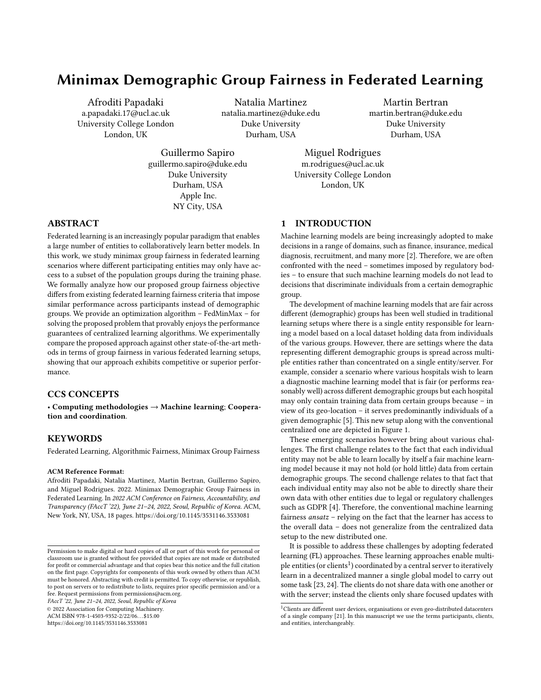Table 12: Final group weighting coefficients for AFL, Centalized Minmax Baseline, and FedMinmax for the ACS Employment dataset. The weights are rounded to the last three decimal places.

| <b>Setting</b> | Method                     | Unemployed<br>White | Emploved<br>White | Emploved<br><b>Black</b> | Unemploved<br><b>Other</b> | Unemployed<br><b>Black</b> | Employed<br>Other |
|----------------|----------------------------|---------------------|-------------------|--------------------------|----------------------------|----------------------------|-------------------|
| <b>ESG</b>     | AFL                        | 0.419               | 0.351             | 0.038                    | 0.078                      | 0.062                      | 0.052             |
|                | FedMinMax (ours)           | 0.461               | 0.356             | 0.041                    | 0.044                      | 0.070                      | 0.029             |
| <b>SSG</b>     | AFL                        | 0.461               | 0.355             | 0.040                    | 0.045                      | 0.070                      | 0.029             |
|                | FedMinMax                  | 0.461               | 0.356             | 0.040                    | 0.045                      | 0.070                      | 0.028             |
| <b>PSG</b>     | AFL                        | 0.431               | 0.343             | 0.040                    | 0.072                      | 0.067                      | 0.048             |
|                | FedMinMax (ours)           | 0.461               | 0.356             | 0.041                    | 0.044                      | 0.070                      | 0.029             |
|                | Centalized Minmax Baseline | 0.461               | 0.356             | 0.040                    | 0.045                      | 0.070                      | 0.029             |

Table 13: Risks for FedAvg, AFL, q-FFL, TERM, and FedMinmax across different federated learning settings on ACS Employment dataset.

| Setting                    | Method           | White             | Black/<br>African | American<br>Indian | Alaska<br><b>Native</b> | A.I. $&/or$<br>A.N. Tribes | Asian             | N. Hawaiian<br>& other P.I. | Other             | Multiple          |
|----------------------------|------------------|-------------------|-------------------|--------------------|-------------------------|----------------------------|-------------------|-----------------------------|-------------------|-------------------|
|                            |                  |                   | American          |                    |                         |                            |                   |                             |                   |                   |
| <b>ESG</b>                 | AFL              | $0.47 \pm 0.003$  | $0.477 + 0.002$   | $0.499 \pm 0.002$  | $0.438 + 0.009$         | $0.555 \pm 0.001$          | $0.487 \pm 0.001$ | $0.526 \pm 0.003$           | $0.468 \pm 0.006$ | $0.363 \pm 0.001$ |
|                            | FedAvg           | $0.471 \pm 0.004$ | $0.477 \pm 0.002$ | $0.501 \pm 0.002$  | $0.437 + 0.012$         | $0.556 \pm 0.001$          | $0.488 + 0.001$   | $0.526 \pm 0.004$           | $0.471 \pm 0.007$ | $0.363 \pm 0.002$ |
|                            | q-FedAvg         | $0.47 \pm 0.001$  | $0.476 \pm 0.001$ | $0.499 \pm 0.0$    | $0.436 \pm 0.005$       | $0.554 \pm 0.001$          | $0.487 + 0.0$     | $0.525 \pm 0.001$           | $0.468 \pm 0.002$ | $0.363 \pm 0.0$   |
|                            | <b>TERM</b>      | $0.47 \pm 0.004$  | $0.483 \pm 0.005$ | $0.504 \pm 0.007$  | $0.398 \pm 0.043$       | $0.553 \pm 0.001$          | $0.488 \pm 0.001$ | $0.527 \pm 0.004$           | $0.469 \pm 0.008$ | $0.365 \pm 0.003$ |
|                            | FedMinMax (ours) | $0.467 \pm 0.0$   | $0.48 \pm 0.001$  | $0.5 \pm 0.001$    | $0.375 \pm 0.004$       | $0.545 \pm 0.0$            | $0.487 + 0.001$   | $0.522 \pm 0.0$             | $0.464 \pm 0.001$ | $0.363 \pm 0.0$   |
| SSG                        | AFL              | $0.467 \pm 0.0$   | $0.479 \pm 0.0$   | $0.499 \pm 0.0$    | $0.396 \pm 0.003$       | $0.547 \pm 0.001$          | $0.488 \pm 0.0$   | $0.523 \pm 0.0$             | $0.465 \pm 0.0$   | $0.362 \pm 0.0$   |
|                            | FedAvg           | $0.473 \pm 0.002$ | $0.475 \pm 0.001$ | $0.501 \pm 0.0$    | $0.412 \pm 0.009$       | $0.575 \pm 0.003$          | $0.487 + 0.0$     | $0.524 \pm 0.003$           | $0.482 \pm 0.001$ | $0.363 \pm 0.001$ |
|                            | q-FedAvg         | $0.472 \pm 0.001$ | $0.475 \pm 0.001$ | $0.5 \pm 0.0$      | $0.418 \pm 0.005$       | $0.571 \pm 0.001$          | $0.487 + 0.0$     | $0.525 \pm 0.001$           | $0.48 \pm 0.001$  | $0.364 \pm 0.0$   |
|                            | <b>TERM</b>      | $0.469 \pm 0.001$ | $0.474 \pm 0.0$   | $0.5 \pm 0.001$    | $0.421 \pm 0.006$       | $0.567 \pm 0.002$          | $0.487 + 0.0$     | $0.525 \pm 0.001$           | $0.48 \pm 0.001$  | $0.363 \pm 0.0$   |
|                            | FedMinMax (ours) | $0.467 \pm 0.0$   | $0.479 \pm 0.001$ | $0.499 \pm 0.0$    | $0.383 \pm 0.004$       | $0.546 \pm 0.001$          | $0.487 + 0.001$   | $0.522 \pm 0.0$             | $0.465 \pm 0.001$ | $0.363 \pm 0.0$   |
| <b>PSG</b>                 | AFL              | $0.468 \pm 0.0$   | $0.475 \pm 0.0$   | $0.503 \pm 0.002$  | $0.424 \pm 0.0$         | $0.563 \pm 0.0$            | $0.49 \pm 0.001$  | $0.529 \pm 0.002$           | $0.481 \pm 0.002$ | $0.365 \pm 0.001$ |
|                            | FedAvg           | $0.468 \pm 0.0$   | $0.475 \pm 0.001$ | $0.503 \pm 0.003$  | $0.421 \pm 0.002$       | $0.564 \pm 0.001$          | $0.489 \pm 0.003$ | $0.529 \pm 0.004$           | $0.481 \pm 0.003$ | $0.365 \pm 0.001$ |
|                            | q-FedAvg         | $0.468 \pm 0.0$   | $0.475 \pm 0.0$   | $0.503 \pm 0.001$  | $0.43 \pm 0.011$        | $0.561 \pm 0.001$          | $0.49 \pm 0.001$  | $0.53 \pm 0.002$            | $0.48 \pm 0.002$  | $0.365 \pm 0.001$ |
|                            | <b>TERM</b>      | $0.471 \pm 0.006$ | $0.476 \pm 0.003$ | $0.502 \pm 0.003$  | $0.434 \pm 0.009$       | $0.559 \pm 0.001$          | $0.489 \pm 0.002$ | $0.528 \pm 0.005$           | $0.474 \pm 0.009$ | $0.364 \pm 0.002$ |
|                            | FedMinMax (ours) | $0.467 \pm 0.0$   | $0.48 \pm 0.001$  | $0.5 \pm 0.001$    | $0.373 \pm 0.004$       | $0.546 \pm 0.001$          | $0.486 \pm 0.0$   | $0.522 \pm 0.0$             | $0.465 \pm 0.0$   | $0.363 \pm 0.001$ |
| Centalized Minmax Baseline |                  | $0.467 \pm 0.0$   | $0.48 + 0.0$      | $0.5 \pm 0.001$    | $0.372 \pm 0.002$       | $0.545 \pm 0.0$            | $0.486 \pm 0.001$ | $0.522 \pm 0.001$           | $0.465 \pm 0.001$ | $0.364 \pm 0.0$   |

Table 14: Brier Score risks for FedMinMax and LocalFedMinMax on FashionMNIST across the different federated learning scenarios.

| Setting        | Method           | <b>T-shirt</b>    | Trouser           | Pullover          | <b>Dress</b>      | Coat              | Sandal            | Shirt             | Sneaker           | Bag               | Ankle boot        |
|----------------|------------------|-------------------|-------------------|-------------------|-------------------|-------------------|-------------------|-------------------|-------------------|-------------------|-------------------|
| <b>ESG</b>     | LocalFedMinMax   | $0.298 + 0.054$   | $0.173 + 0.021$   | $0.316 + 0.092$   | $0.224 + 0.006$   | $0.256 + 0.036$   | $0.184 + 0.033$   | $0.29 \pm 0.022$  | $0.157 + 0.042$   | $0.185 + 0.015$   | $0.149 + 0.019$   |
| $(10$ clients) | FedMinMax (ours) | $0.25 \pm 0.003$  | $0.168 \pm 0.014$ | $0.218 \pm 0.015$ | $0.205 \pm 0.008$ | $0.243 \pm 0.025$ | $0.184 + 0.021$   | $0.31 \pm 0.005$  | $0.159 \pm 0.016$ | $0.174 + 0.017$   | $0.143 \pm 0.005$ |
| SSG            | LocalFedMinMax   | $0.288 + 0.055$   | $0.153 \pm 0.009$ | $0.253 + 0.069$   | $0.22 \pm 0.023$  | $0.251 \pm 0.029$ | $0.161 + 0.024$   | $0.309 + 0.013$   | $0.15 + 0.021$    | $0.166 \pm 0.007$ | $0.135 \pm 0.004$ |
| $(10$ clients) | FedMinMax (ours) | $0.265 \pm 0.004$ | $0.184 \pm 0.023$ | $0.229 \pm 0.016$ | $0.216 \pm 0.017$ | $0.256 + 0.031$   | $0.192 + 0.029$   | $0.308 \pm 0.003$ | $0.177 + 0.029$   | $0.193 + 0.023$   | $0.158 \pm 0.014$ |
| <b>PSG</b>     | LocalFedMinMax   | $0.331 \pm 0.007$ | $0.153 + 0.008$   | $0.323 + 0.03$    | $0.232 \pm 0.005$ | $0.23 + 0.0$      | $0.152 + 0.012$   | $0.307 + 0.012$   | $0.131 + 0.005$   | $0.167 + 0.01$    | $0.134 \pm 0.003$ |
| $(10$ clients) | FedMinMax (ours) | $0.266 + 0.002$   | $0.187 + 0.021$   | $0.278 + 0.029$   | $0.217 + 0.015$   | $0.201 + 0.044$   | $0.192 + 0.04$    | $0.308 + 0.012$   | $0.165 + 0.022$   | $0.187 + 0.026$   | $0.158 + 0.011$   |
| ESG            | LocalFedMinMax   | $0.284 \pm 0.008$ | $0.03 \pm 0.012$  | $0.346 \pm 0.081$ | $0.147 + 0.007$   | $0.232 \pm 0.006$ | $0.156 \pm 0.006$ | $0.271 \pm 0.004$ | $0.165 \pm 0.0$   | $0.09 \pm 0.008$  | $0.154 \pm 0.009$ |
| $(40$ clients) | FedMinMax (ours) | $0.261 \pm 0.006$ | $0.191 \pm 0.016$ | $0.256 + 0.027$   | $0.217 + 0.013$   | $0.223 + 0.031$   | $0.207 + 0.027$   | $0.307 + 0.01$    | $0.172 \pm 0.016$ | $0.193 + 0.021$   | $0.156 \pm 0.011$ |
| SSG            | LocalFedMinMax   | $0.25 + 0.005$    | $0.206 + 0.003$   | $0.24 + 0.006$    | $0.25 \pm 0.007$  | $0.28 + 0.007$    | $0.23 \pm 0.01$   | $0.31 \pm 0.05$   | $0.105 + 0.006$   | $0.18 + 0.008$    | $0.182 + 0.001$   |
| $(40$ clients) | FedMinMax (ours) | $0.269 \pm 0.012$ | $0.2 \pm 0.026$   | $0.238 \pm 0.017$ | $0.231 + 0.013$   | $0.252 + 0.034$   | $0.2 \pm 0.024$   | $0.309 + 0.011$   | $0.177 + 0.03$    | $0.205 + 0.032$   | $0.169 \pm 0.013$ |
| <b>PSG</b>     | LocalFedMinMax   | $0.331 + 0.021$   | $0.039 \pm 0.006$ | $0.281 \pm 0.001$ | $0.178 + 0.006$   | $0.191 + 0.051$   | $0.065 \pm 0.05$  | $0.275 \pm 0.006$ | $0.068 \pm 0.1$   | $0.041 \pm 0.09$  | $0.12 \pm 0.2$    |
| $(40$ clients) | FedMinMax (ours) | $0.263 \pm 0.013$ | $0.177 + 0.026$   | $0.228 \pm 0.011$ | $0.21 \pm 0.019$  | $0.238 \pm 0.025$ | $0.182 \pm 0.03$  | $0.31 \pm 0.008$  | $0.16 \pm 0.027$  | $0.184 + 0.031$   | $0.154 + 0.018$   |